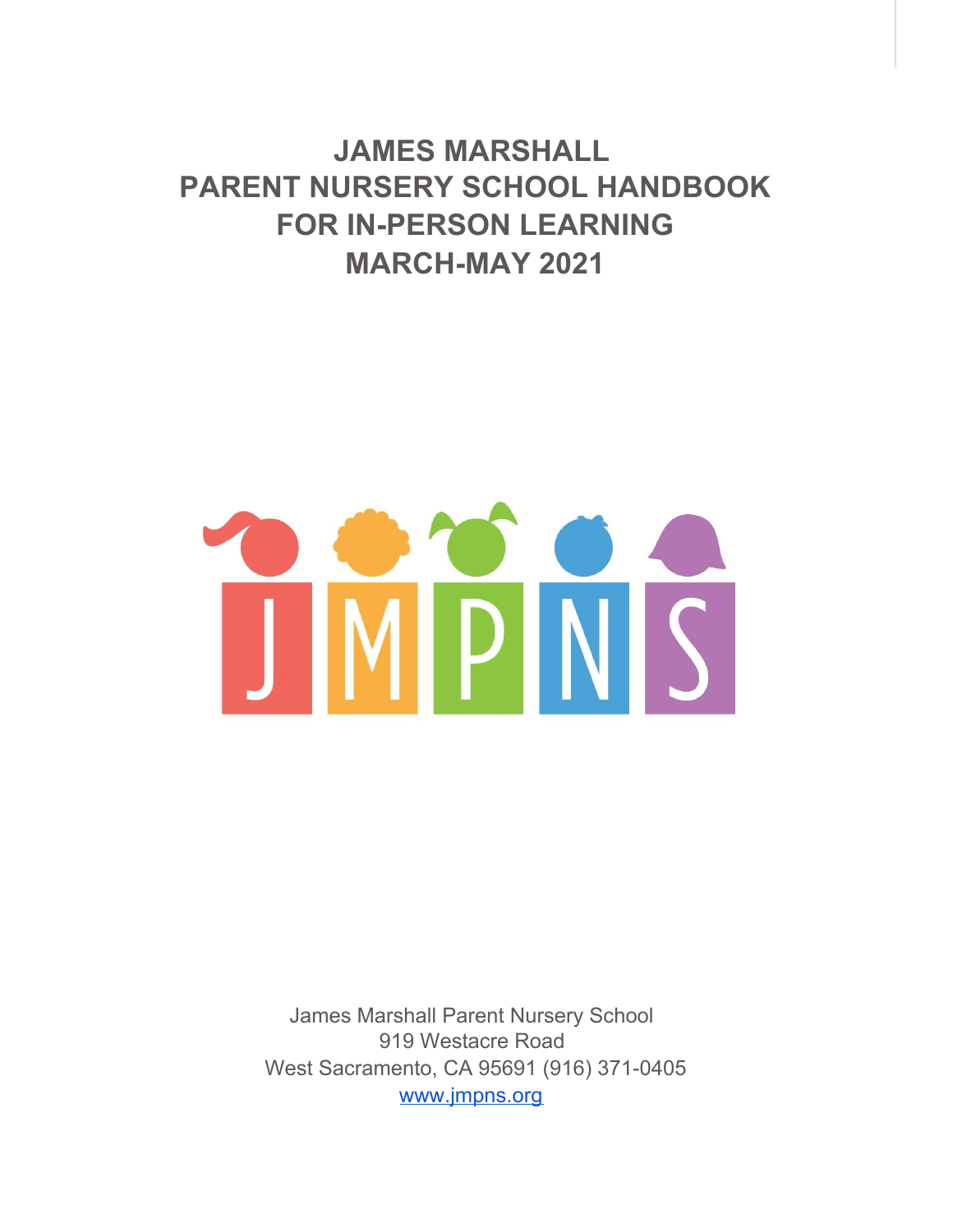**JAMES MARSHALL PARENT NURSERY SCHOOL HANDBOOK FOR IN-PERSON LEARNING MARCH-MAY 2021**



James Marshall Parent Nursery School 919 Westacre Road West Sacramento, CA 95691 (916) 371-0405 [www.jmpns.org](http://www.jmpns.org/)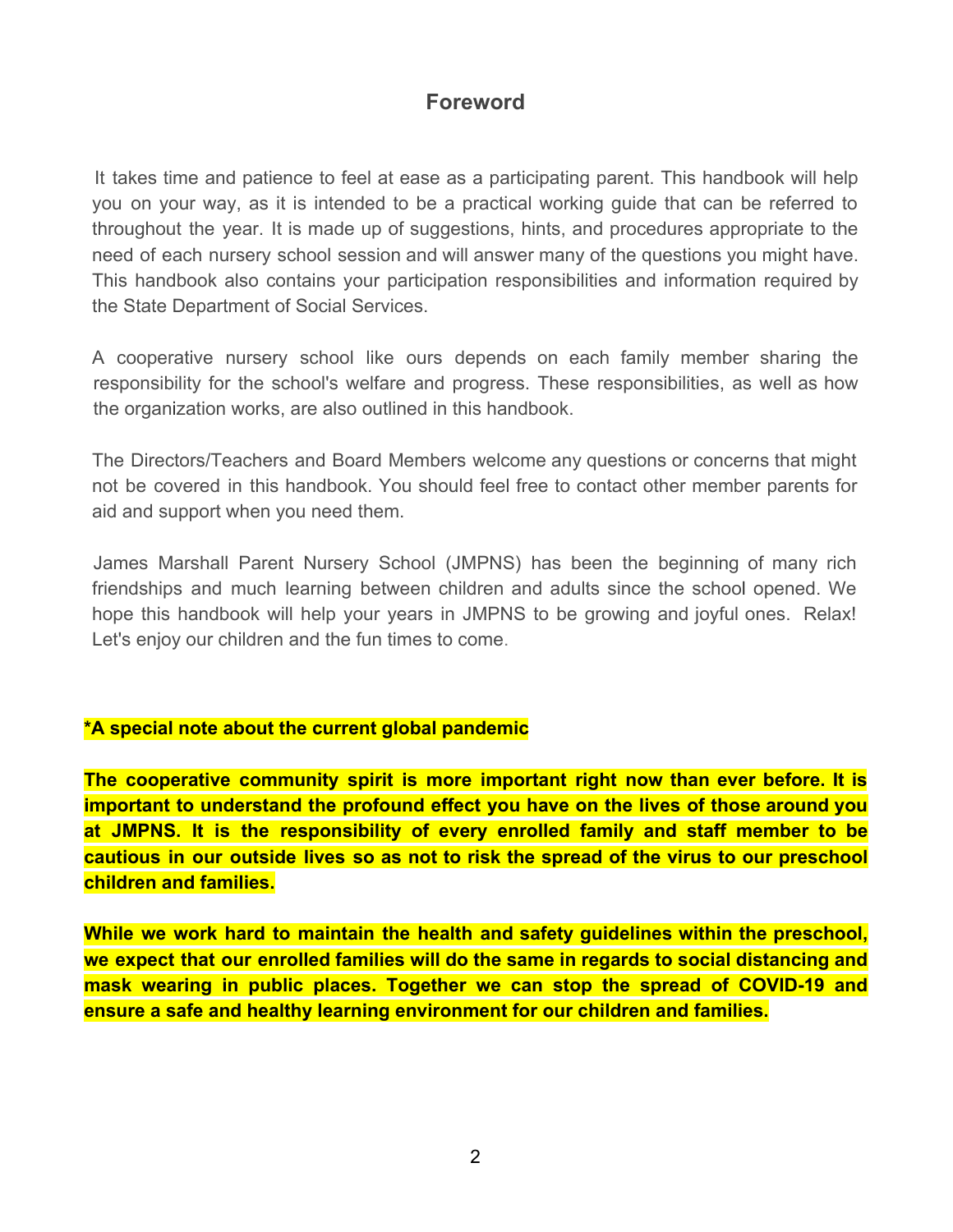# **Foreword**

It takes time and patience to feel at ease as a participating parent. This handbook will help you on your way, as it is intended to be a practical working guide that can be referred to throughout the year. It is made up of suggestions, hints, and procedures appropriate to the need of each nursery school session and will answer many of the questions you might have. This handbook also contains your participation responsibilities and information required by the State Department of Social Services.

A cooperative nursery school like ours depends on each family member sharing the responsibility for the school's welfare and progress. These responsibilities, as well as how the organization works, are also outlined in this handbook.

The Directors/Teachers and Board Members welcome any questions or concerns that might not be covered in this handbook. You should feel free to contact other member parents for aid and support when you need them.

James Marshall Parent Nursery School (JMPNS) has been the beginning of many rich friendships and much learning between children and adults since the school opened. We hope this handbook will help your years in JMPNS to be growing and joyful ones. Relax! Let's enjoy our children and the fun times to come.

#### **\*A special note about the current global pandemic**

**The cooperative community spirit is more important right now than ever before. It is important to understand the profound effect you have on the lives of those around you at JMPNS. It is the responsibility of every enrolled family and staff member to be cautious in our outside lives so as not to risk the spread of the virus to our preschool children and families.**

**While we work hard to maintain the health and safety guidelines within the preschool, we expect that our enrolled families will do the same in regards to social distancing and mask wearing in public places. Together we can stop the spread of COVID-19 and ensure a safe and healthy learning environment for our children and families.**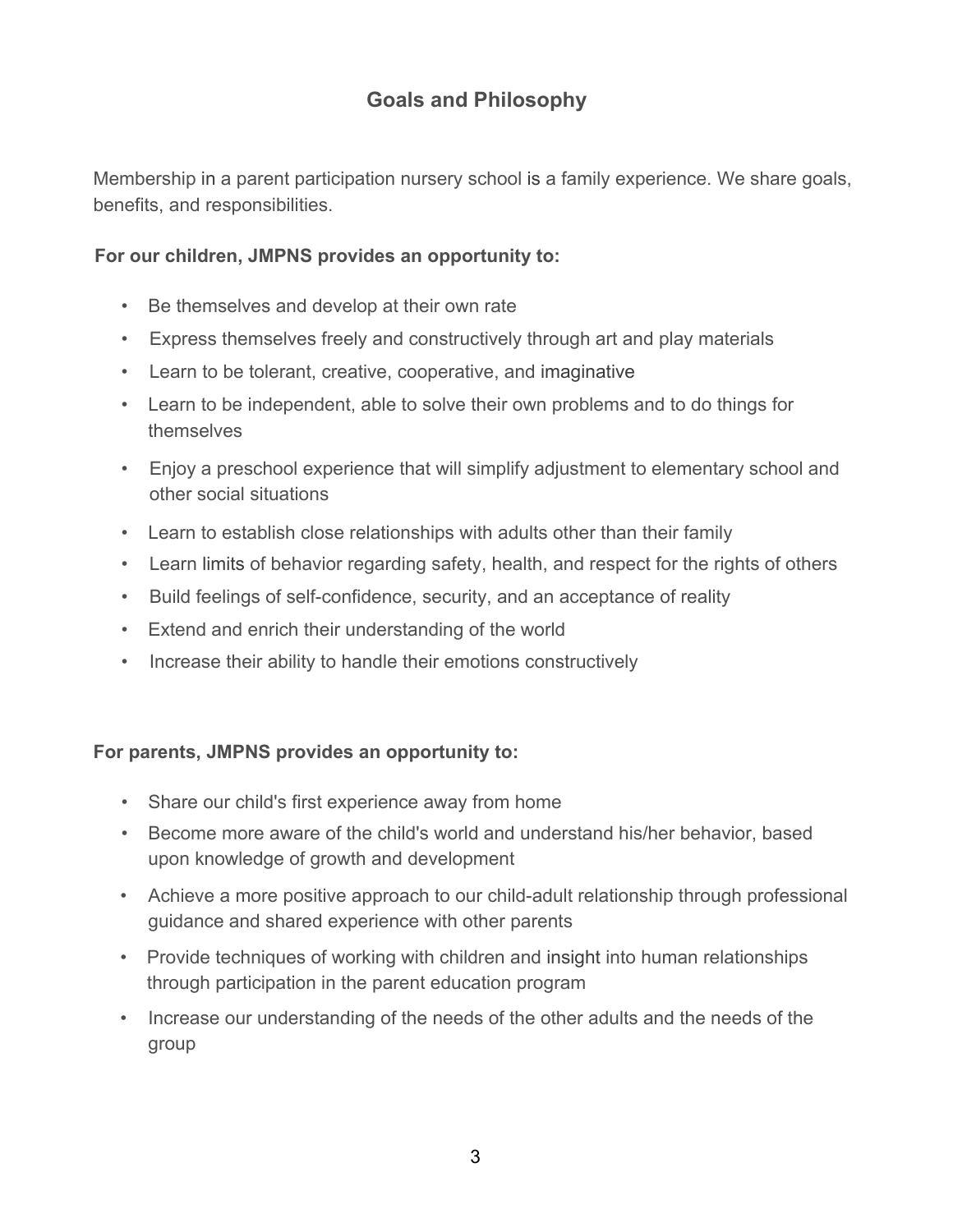# **Goals and Philosophy**

Membership in a parent participation nursery school is a family experience. We share goals, benefits, and responsibilities.

#### **For our children, JMPNS provides an opportunity to:**

- Be themselves and develop at their own rate
- Express themselves freely and constructively through art and play materials
- Learn to be tolerant, creative, cooperative, and imaginative
- Learn to be independent, able to solve their own problems and to do things for themselves
- Enjoy a preschool experience that will simplify adjustment to elementary school and other social situations
- Learn to establish close relationships with adults other than their family
- Learn limits of behavior regarding safety, health, and respect for the rights of others
- Build feelings of self-confidence, security, and an acceptance of reality
- Extend and enrich their understanding of the world
- Increase their ability to handle their emotions constructively

#### **For parents, JMPNS provides an opportunity to:**

- Share our child's first experience away from home
- Become more aware of the child's world and understand his/her behavior, based upon knowledge of growth and development
- Achieve a more positive approach to our child-adult relationship through professional guidance and shared experience with other parents
- Provide techniques of working with children and insight into human relationships through participation in the parent education program
- Increase our understanding of the needs of the other adults and the needs of the group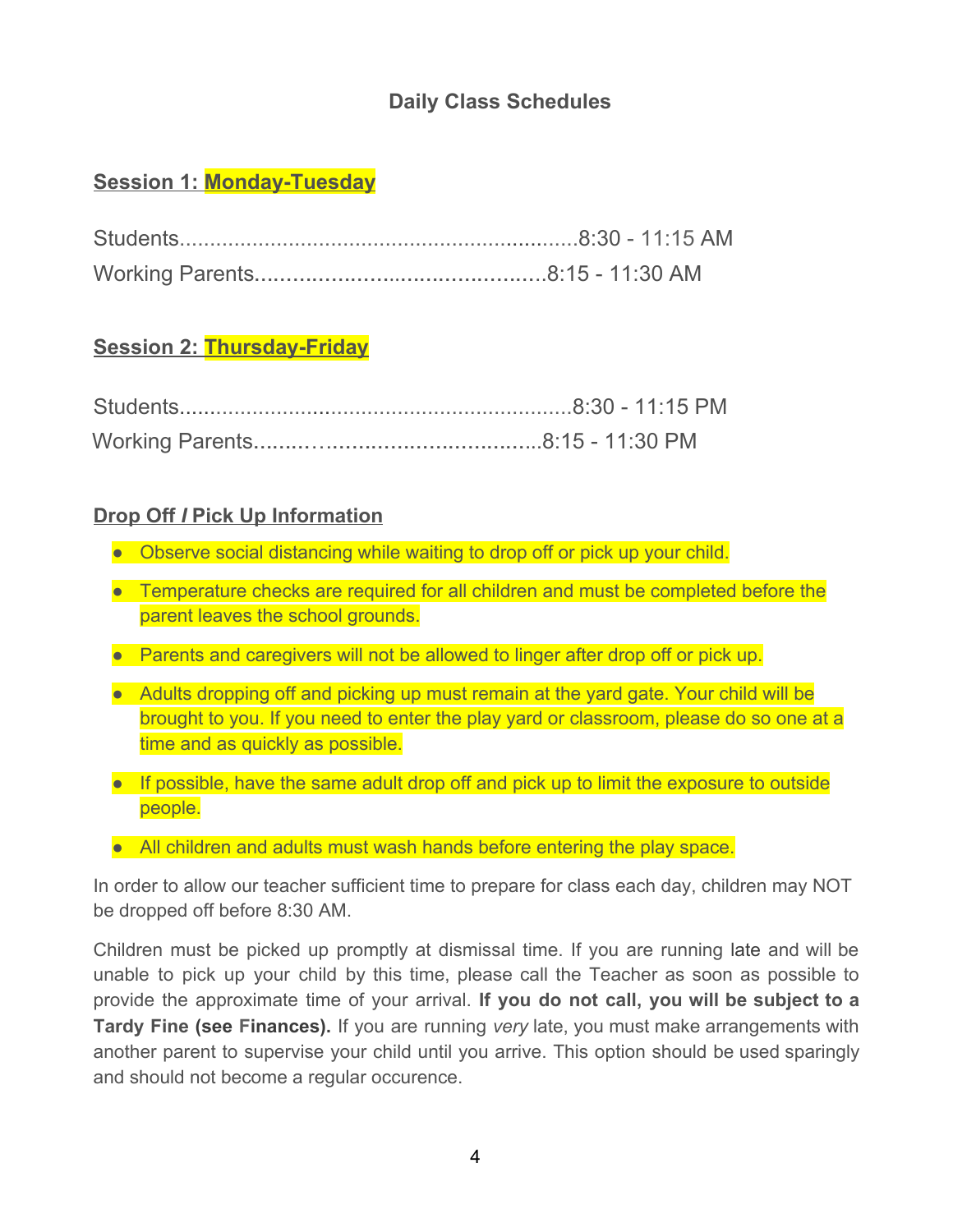# **Daily Class Schedules**

# **Session 1: Monday-Tuesday**

# **Session 2: Thursday-Friday**

#### **Drop Off** *I* **Pick Up Information**

- Observe social distancing while waiting to drop off or pick up your child.
- Temperature checks are required for all children and must be completed before the parent leaves the school grounds.
- Parents and caregivers will not be allowed to linger after drop off or pick up.
- Adults dropping off and picking up must remain at the yard gate. Your child will be brought to you. If you need to enter the play yard or classroom, please do so one at a time and as quickly as possible.
- If possible, have the same adult drop off and pick up to limit the exposure to outside people.
- All children and adults must wash hands before entering the play space.

In order to allow our teacher sufficient time to prepare for class each day, children may NOT be dropped off before 8:30 AM.

Children must be picked up promptly at dismissal time. If you are running late and will be unable to pick up your child by this time, please call the Teacher as soon as possible to provide the approximate time of your arrival. **If you do not call, you will be subject to a Tardy Fine (see Finances).** If you are running *very* late, you must make arrangements with another parent to supervise your child until you arrive. This option should be used sparingly and should not become a regular occurence.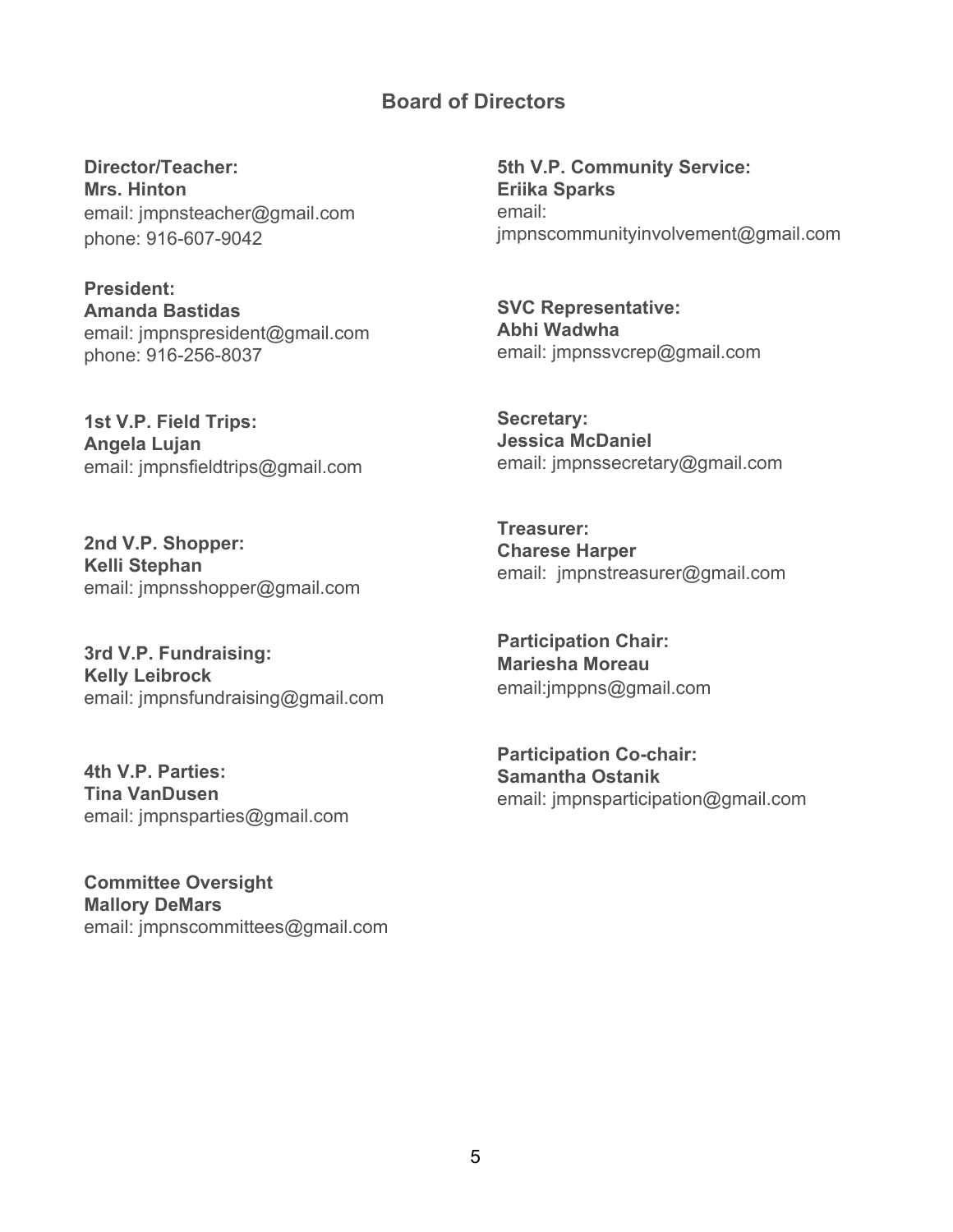#### **Board of Directors**

**Director/Teacher: Mrs. Hinton** email: jmpnsteacher@gmail.com phone: 916-607-9042

**President: Amanda Bastidas** email: jmpnspresident@gmail.com phone: 916-256-8037

**1st V.P. Field Trips: Angela Lujan** email: jmpnsfieldtrips@gmail.com

**2nd V.P. Shopper: Kelli Stephan** email: jmpnsshopper@gmail.com

**3rd V.P. Fundraising: Kelly Leibrock** email: jmpnsfundraising@gmail.com

**4th V.P. Parties: Tina VanDusen** email: jmpnsparties@gmail.com

**Committee Oversight Mallory DeMars** email: jmpnscommittees@gmail.com

**5th V.P. Community Service: Eriika Sparks** email: jmpnscommunityinvolvement@gmail.com

**SVC Representative: Abhi Wadwha** email: jmpnssvcrep@gmail.com

**Secretary: Jessica McDaniel** email: jmpnssecretary@gmail.com

**Treasurer: Charese Harper** email: jmpnstreasurer@gmail.com

**Participation Chair: Mariesha Moreau** email:jmppns@gmail.com

**Participation Co-chair: Samantha Ostanik** email: jmpnsparticipation@gmail.com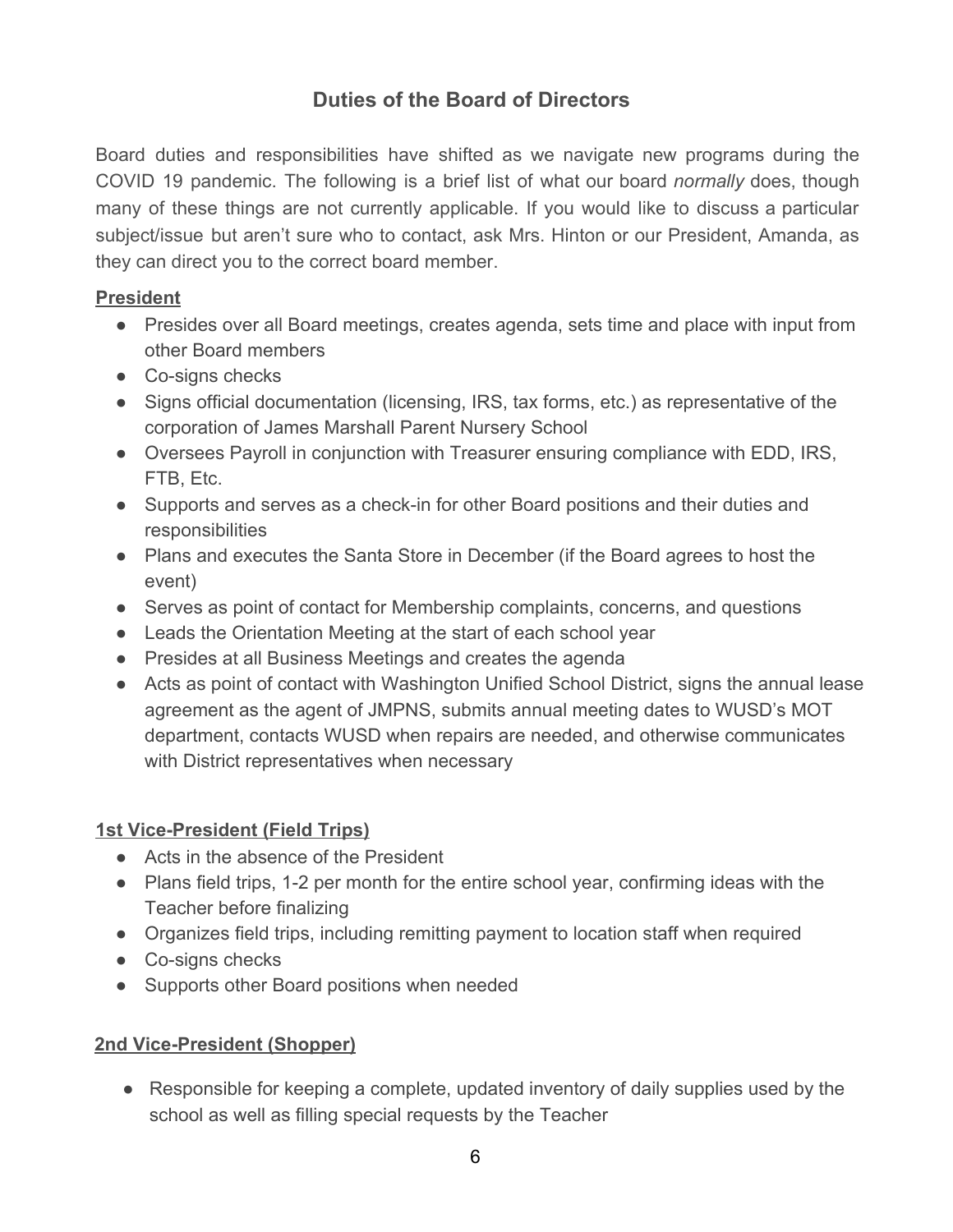# **Duties of the Board of Directors**

Board duties and responsibilities have shifted as we navigate new programs during the COVID 19 pandemic. The following is a brief list of what our board *normally* does, though many of these things are not currently applicable. If you would like to discuss a particular subject/issue but aren't sure who to contact, ask Mrs. Hinton or our President, Amanda, as they can direct you to the correct board member.

#### **President**

- Presides over all Board meetings, creates agenda, sets time and place with input from other Board members
- Co-signs checks
- Signs official documentation (licensing, IRS, tax forms, etc.) as representative of the corporation of James Marshall Parent Nursery School
- Oversees Payroll in conjunction with Treasurer ensuring compliance with EDD, IRS, FTB, Etc.
- Supports and serves as a check-in for other Board positions and their duties and responsibilities
- Plans and executes the Santa Store in December (if the Board agrees to host the event)
- Serves as point of contact for Membership complaints, concerns, and questions
- Leads the Orientation Meeting at the start of each school year
- Presides at all Business Meetings and creates the agenda
- Acts as point of contact with Washington Unified School District, signs the annual lease agreement as the agent of JMPNS, submits annual meeting dates to WUSD's MOT department, contacts WUSD when repairs are needed, and otherwise communicates with District representatives when necessary

#### **1st Vice-President (Field Trips)**

- Acts in the absence of the President
- Plans field trips, 1-2 per month for the entire school year, confirming ideas with the Teacher before finalizing
- Organizes field trips, including remitting payment to location staff when required
- Co-signs checks
- Supports other Board positions when needed

#### **2nd Vice-President (Shopper)**

● Responsible for keeping a complete, updated inventory of daily supplies used by the school as well as filling special requests by the Teacher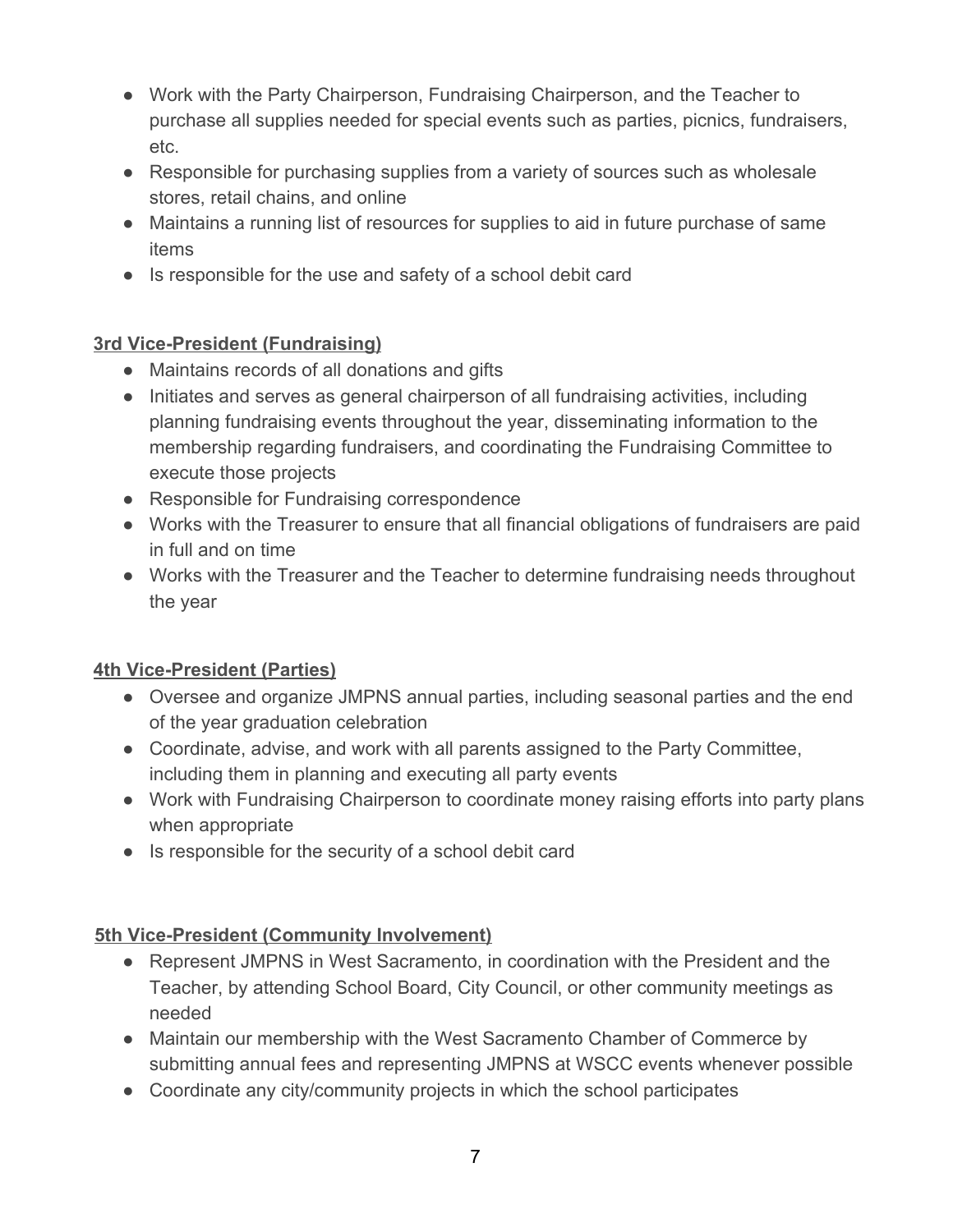- Work with the Party Chairperson, Fundraising Chairperson, and the Teacher to purchase all supplies needed for special events such as parties, picnics, fundraisers, etc.
- Responsible for purchasing supplies from a variety of sources such as wholesale stores, retail chains, and online
- Maintains a running list of resources for supplies to aid in future purchase of same items
- Is responsible for the use and safety of a school debit card

# **3rd Vice-President (Fundraising)**

- Maintains records of all donations and gifts
- Initiates and serves as general chairperson of all fundraising activities, including planning fundraising events throughout the year, disseminating information to the membership regarding fundraisers, and coordinating the Fundraising Committee to execute those projects
- Responsible for Fundraising correspondence
- Works with the Treasurer to ensure that all financial obligations of fundraisers are paid in full and on time
- Works with the Treasurer and the Teacher to determine fundraising needs throughout the year

# **4th Vice-President (Parties)**

- Oversee and organize JMPNS annual parties, including seasonal parties and the end of the year graduation celebration
- Coordinate, advise, and work with all parents assigned to the Party Committee, including them in planning and executing all party events
- Work with Fundraising Chairperson to coordinate money raising efforts into party plans when appropriate
- Is responsible for the security of a school debit card

#### **5th Vice-President (Community Involvement)**

- Represent JMPNS in West Sacramento, in coordination with the President and the Teacher, by attending School Board, City Council, or other community meetings as needed
- Maintain our membership with the West Sacramento Chamber of Commerce by submitting annual fees and representing JMPNS at WSCC events whenever possible
- Coordinate any city/community projects in which the school participates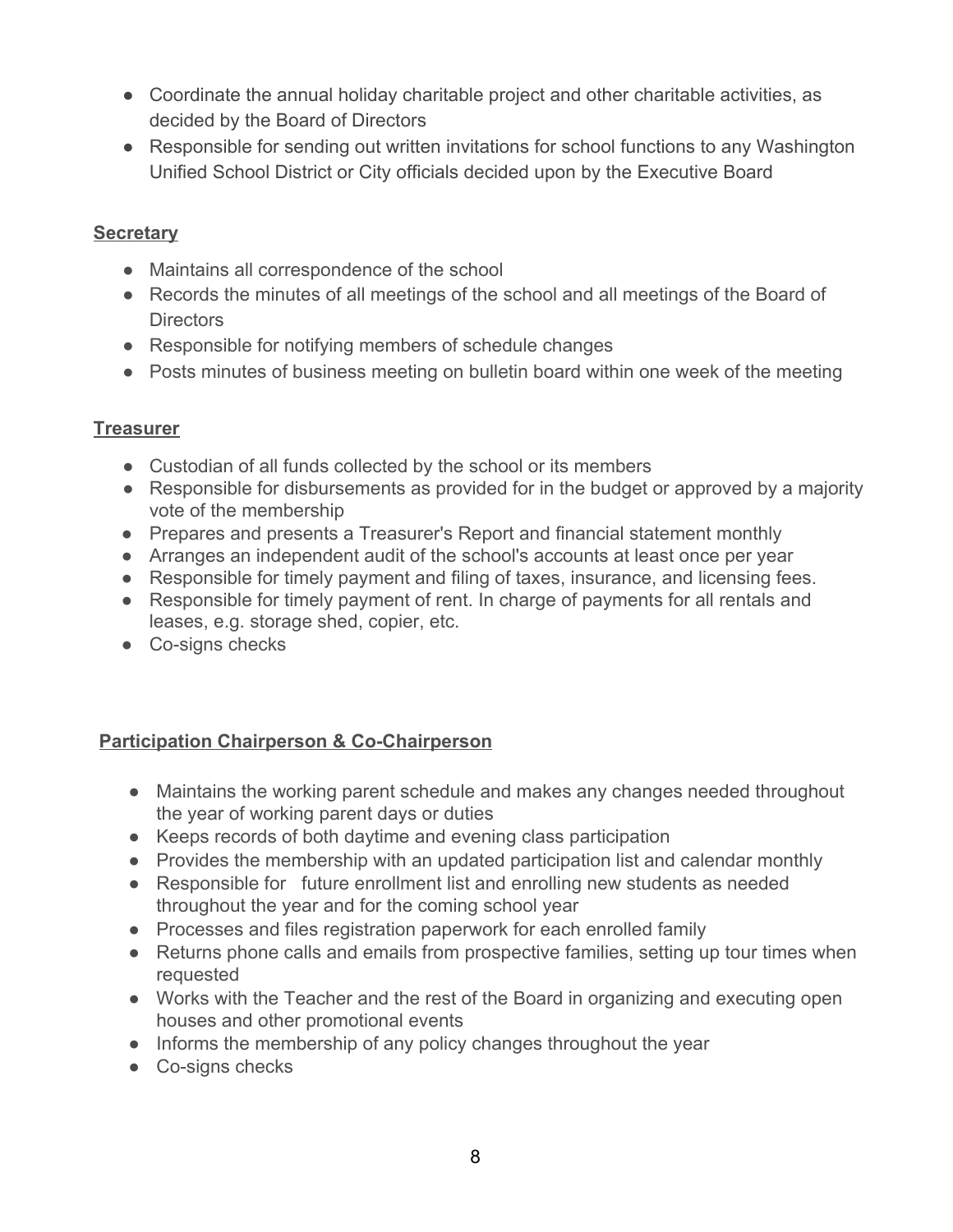- Coordinate the annual holiday charitable project and other charitable activities, as decided by the Board of Directors
- Responsible for sending out written invitations for school functions to any Washington Unified School District or City officials decided upon by the Executive Board

#### **Secretary**

- Maintains all correspondence of the school
- Records the minutes of all meetings of the school and all meetings of the Board of Directors
- Responsible for notifying members of schedule changes
- Posts minutes of business meeting on bulletin board within one week of the meeting

#### **Treasurer**

- Custodian of all funds collected by the school or its members
- Responsible for disbursements as provided for in the budget or approved by a majority vote of the membership
- Prepares and presents a Treasurer's Report and financial statement monthly
- Arranges an independent audit of the school's accounts at least once per year
- Responsible for timely payment and filing of taxes, insurance, and licensing fees.
- Responsible for timely payment of rent. In charge of payments for all rentals and leases, e.g. storage shed, copier, etc.
- Co-signs checks

#### **Participation Chairperson & Co-Chairperson**

- Maintains the working parent schedule and makes any changes needed throughout the year of working parent days or duties
- Keeps records of both daytime and evening class participation
- Provides the membership with an updated participation list and calendar monthly
- Responsible for future enrollment list and enrolling new students as needed throughout the year and for the coming school year
- Processes and files registration paperwork for each enrolled family
- Returns phone calls and emails from prospective families, setting up tour times when requested
- Works with the Teacher and the rest of the Board in organizing and executing open houses and other promotional events
- Informs the membership of any policy changes throughout the year
- Co-signs checks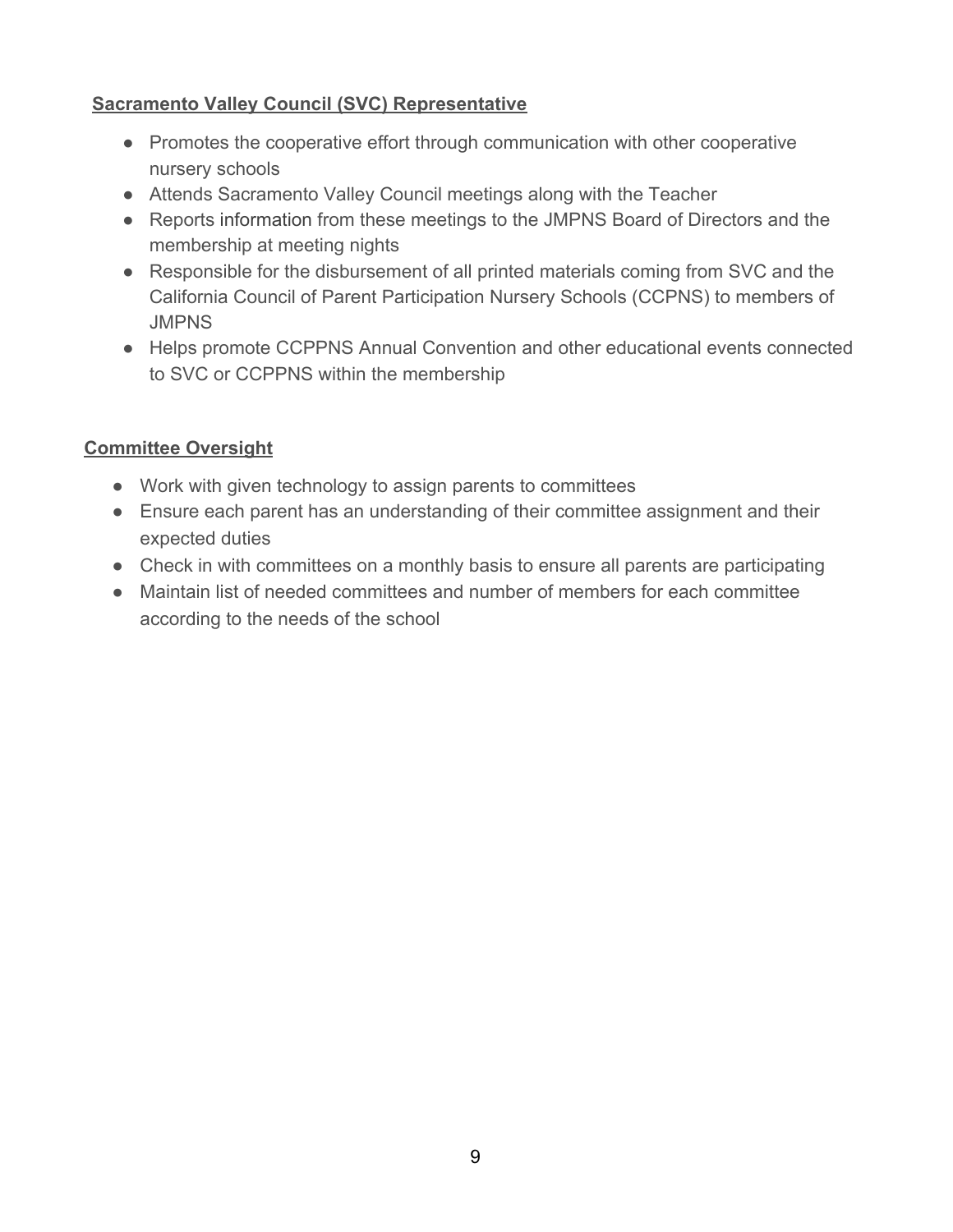#### **Sacramento Valley Council (SVC) Representative**

- Promotes the cooperative effort through communication with other cooperative nursery schools
- Attends Sacramento Valley Council meetings along with the Teacher
- Reports information from these meetings to the JMPNS Board of Directors and the membership at meeting nights
- Responsible for the disbursement of all printed materials coming from SVC and the California Council of Parent Participation Nursery Schools (CCPNS) to members of **JMPNS**
- Helps promote CCPPNS Annual Convention and other educational events connected to SVC or CCPPNS within the membership

#### **Committee Oversight**

- Work with given technology to assign parents to committees
- Ensure each parent has an understanding of their committee assignment and their expected duties
- Check in with committees on a monthly basis to ensure all parents are participating
- Maintain list of needed committees and number of members for each committee according to the needs of the school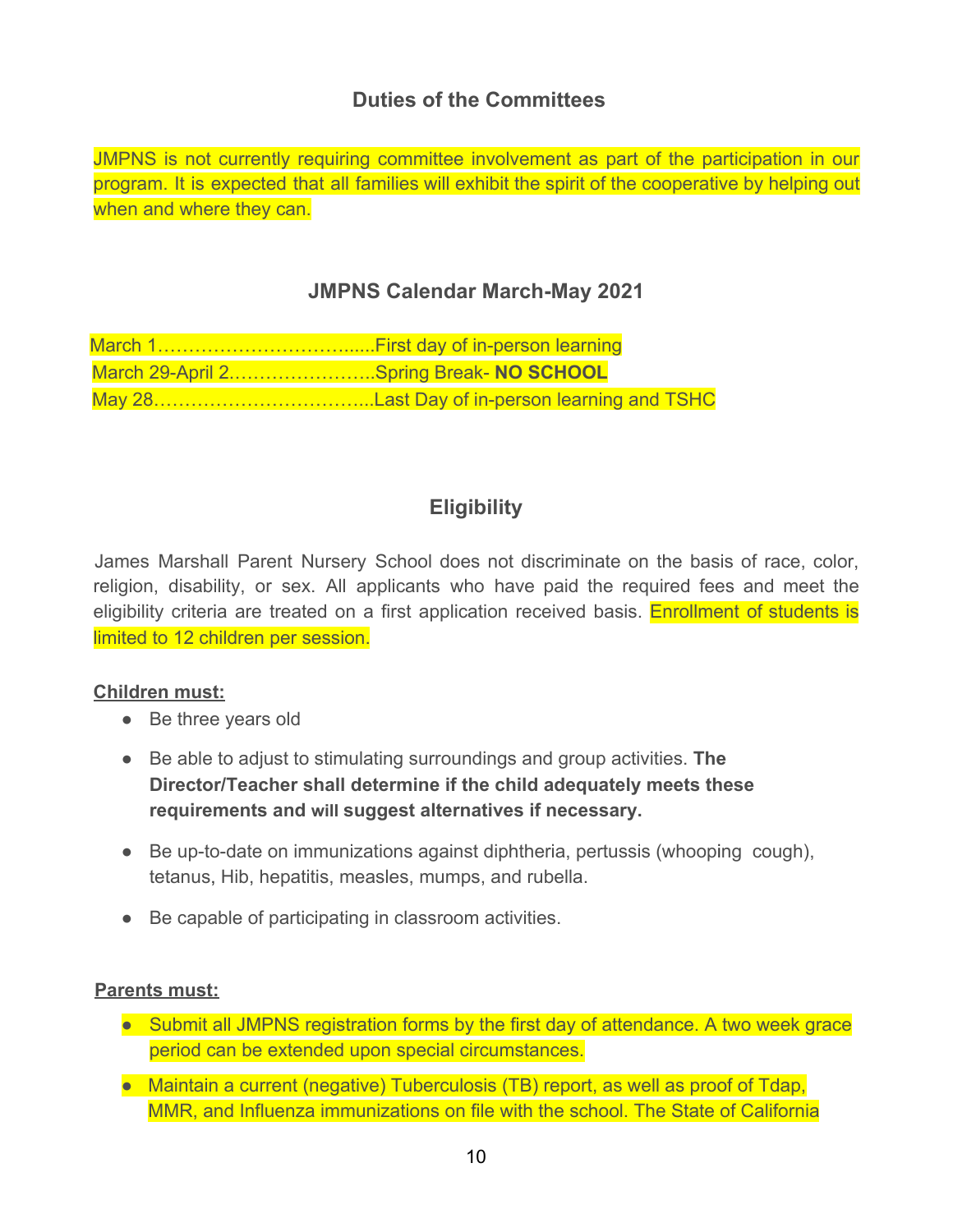# **Duties of the Committees**

JMPNS is not currently requiring committee involvement as part of the participation in our program. It is expected that all families will exhibit the spirit of the cooperative by helping out when and where they can.

# **JMPNS Calendar March-May 2021**

| March 29-April 2Spring Break- NO SCHOOL |
|-----------------------------------------|
|                                         |

# **Eligibility**

James Marshall Parent Nursery School does not discriminate on the basis of race, color, religion, disability, or sex. All applicants who have paid the required fees and meet the eligibility criteria are treated on a first application received basis. Enrollment of students is limited to 12 children per session.

#### **Children must:**

- Be three years old
- Be able to adjust to stimulating surroundings and group activities. **The Director/Teacher shall determine if the child adequately meets these requirements and will suggest alternatives if necessary.**
- Be up-to-date on immunizations against diphtheria, pertussis (whooping cough), tetanus, Hib, hepatitis, measles, mumps, and rubella.
- Be capable of participating in classroom activities.

#### **Parents must:**

- Submit all JMPNS registration forms by the first day of attendance. A two week grace period can be extended upon special circumstances.
- Maintain a current (negative) Tuberculosis (TB) report, as well as proof of Tdap, MMR, and Influenza immunizations on file with the school. The State of California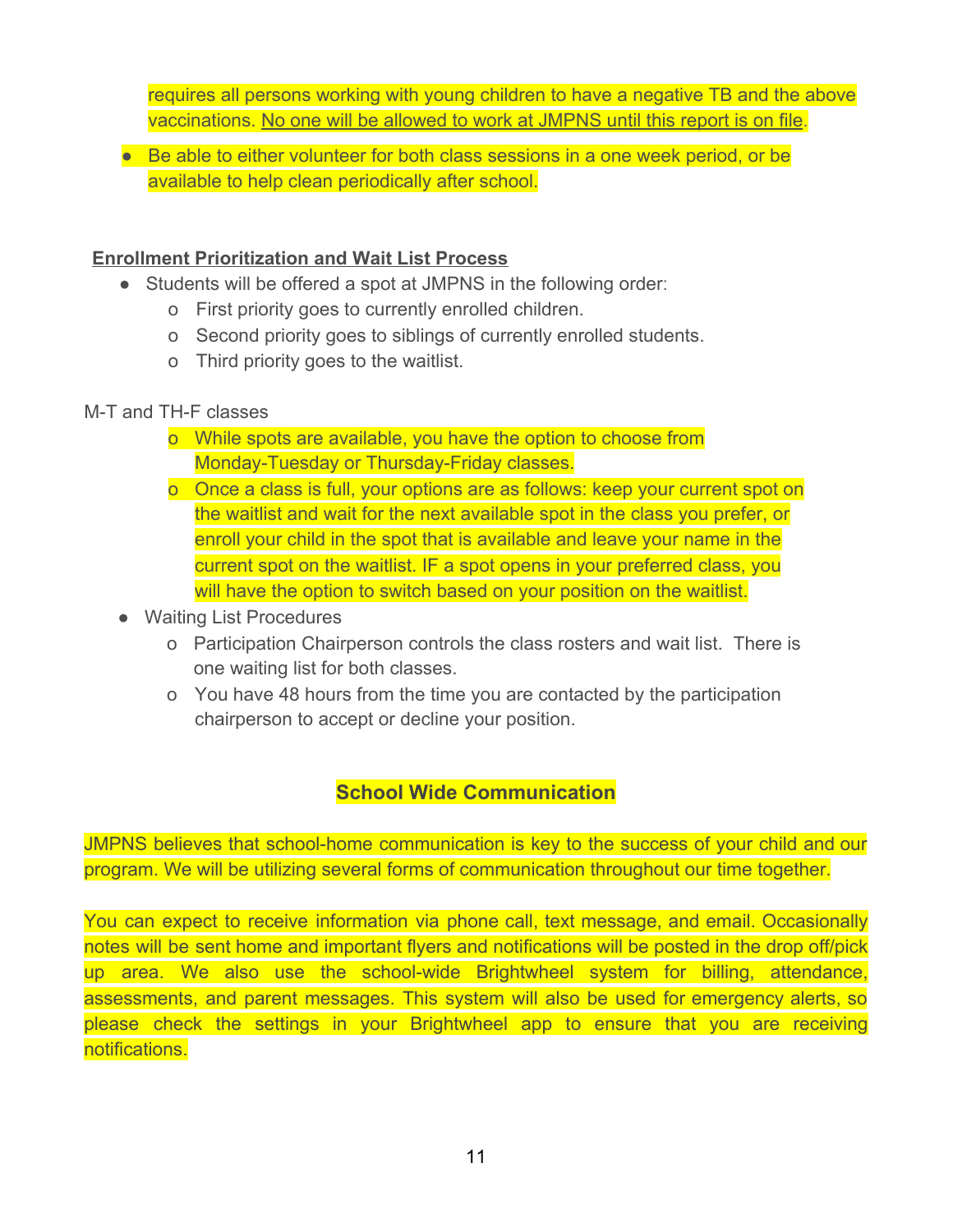requires all persons working with young children to have a negative TB and the above vaccinations. No one will be allowed to work at JMPNS until this report is on file.

● Be able to either volunteer for both class sessions in a one week period, or be available to help clean periodically after school.

#### **Enrollment Prioritization and Wait List Process**

- Students will be offered a spot at JMPNS in the following order:
	- o First priority goes to currently enrolled children.
	- o Second priority goes to siblings of currently enrolled students.
	- o Third priority goes to the waitlist.

#### M-T and TH-F classes

- o While spots are available, you have the option to choose from Monday-Tuesday or Thursday-Friday classes.
- o Once a class is full, your options are as follows: keep your current spot on the waitlist and wait for the next available spot in the class you prefer, or enroll your child in the spot that is available and leave your name in the current spot on the waitlist. IF a spot opens in your preferred class, you will have the option to switch based on your position on the waitlist.
- Waiting List Procedures
	- o Participation Chairperson controls the class rosters and wait list. There is one waiting list for both classes.
	- o You have 48 hours from the time you are contacted by the participation chairperson to accept or decline your position.

# **School Wide Communication**

JMPNS believes that school-home communication is key to the success of your child and our program. We will be utilizing several forms of communication throughout our time together.

You can expect to receive information via phone call, text message, and email. Occasionally notes will be sent home and important flyers and notifications will be posted in the drop off/pick up area. We also use the school-wide Brightwheel system for billing, attendance, assessments, and parent messages. This system will also be used for emergency alerts, so please check the settings in your Brightwheel app to ensure that you are receiving notifications.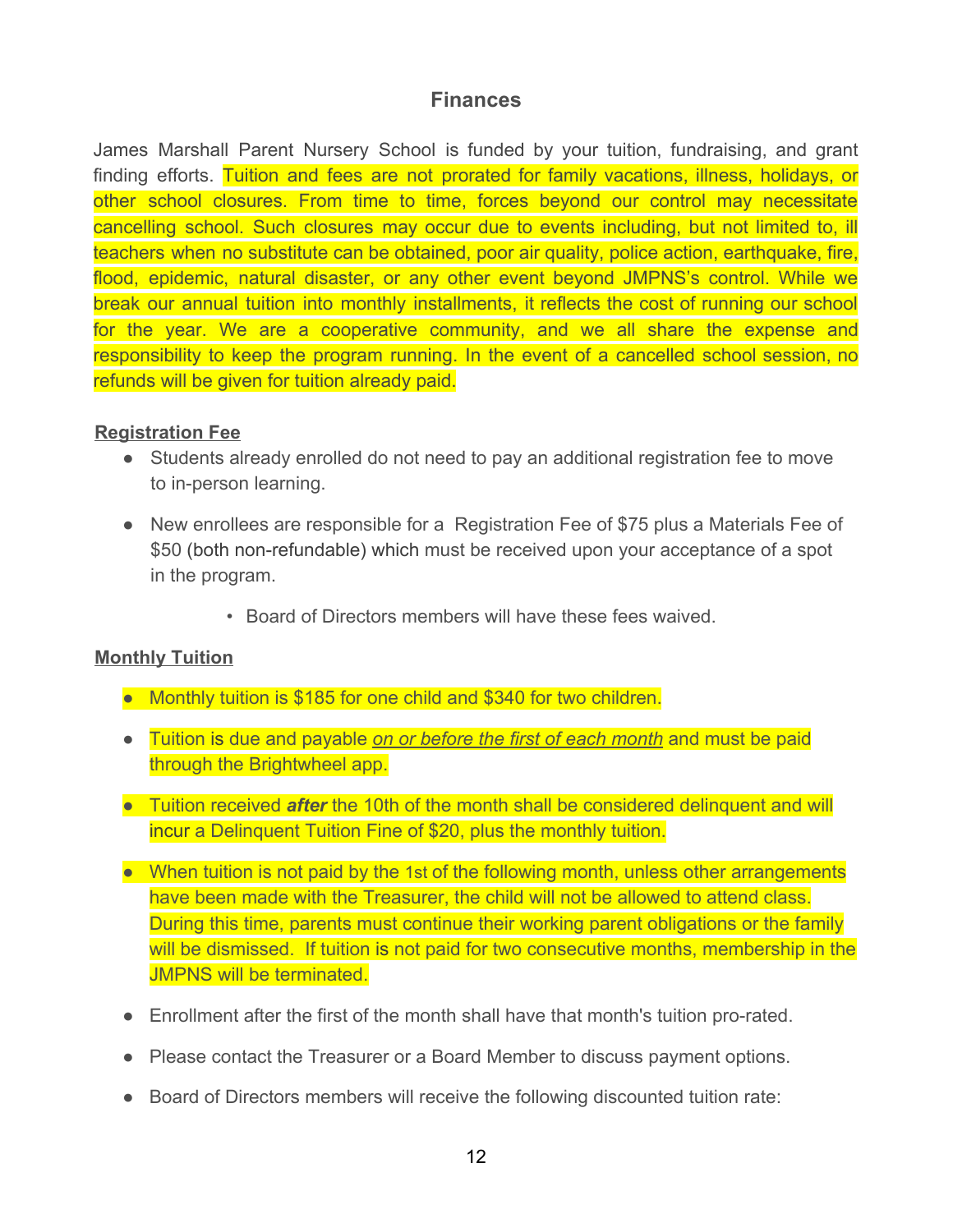#### **Finances**

James Marshall Parent Nursery School is funded by your tuition, fundraising, and grant finding efforts. Tuition and fees are not prorated for family vacations, illness, holidays, or other school closures. From time to time, forces beyond our control may necessitate cancelling school. Such closures may occur due to events including, but not limited to, ill teachers when no substitute can be obtained, poor air quality, police action, earthquake, fire, flood, epidemic, natural disaster, or any other event beyond JMPNS's control. While we break our annual tuition into monthly installments, it reflects the cost of running our school for the year. We are a cooperative community, and we all share the expense and responsibility to keep the program running. In the event of a cancelled school session, no refunds will be given for tuition already paid.

#### **Registration Fee**

- Students already enrolled do not need to pay an additional registration fee to move to in-person learning.
- New enrollees are responsible for a Registration Fee of \$75 plus a Materials Fee of \$50 (both non-refundable) which must be received upon your acceptance of a spot in the program.
	- Board of Directors members will have these fees waived.

#### **Monthly Tuition**

- Monthly tuition is \$185 for one child and \$340 for two children.
- Tuition is due and payable *on or before the first of each month* and must be paid through the Brightwheel app.
- Tuition received *after* the 10th of the month shall be considered delinquent and will incur a Delinquent Tuition Fine of \$20, plus the monthly tuition.
- When tuition is not paid by the 1st of the following month, unless other arrangements have been made with the Treasurer, the child will not be allowed to attend class. During this time, parents must continue their working parent obligations or the family will be dismissed. If tuition is not paid for two consecutive months, membership in the JMPNS will be terminated.
- Enrollment after the first of the month shall have that month's tuition pro-rated.
- Please contact the Treasurer or a Board Member to discuss payment options.
- Board of Directors members will receive the following discounted tuition rate: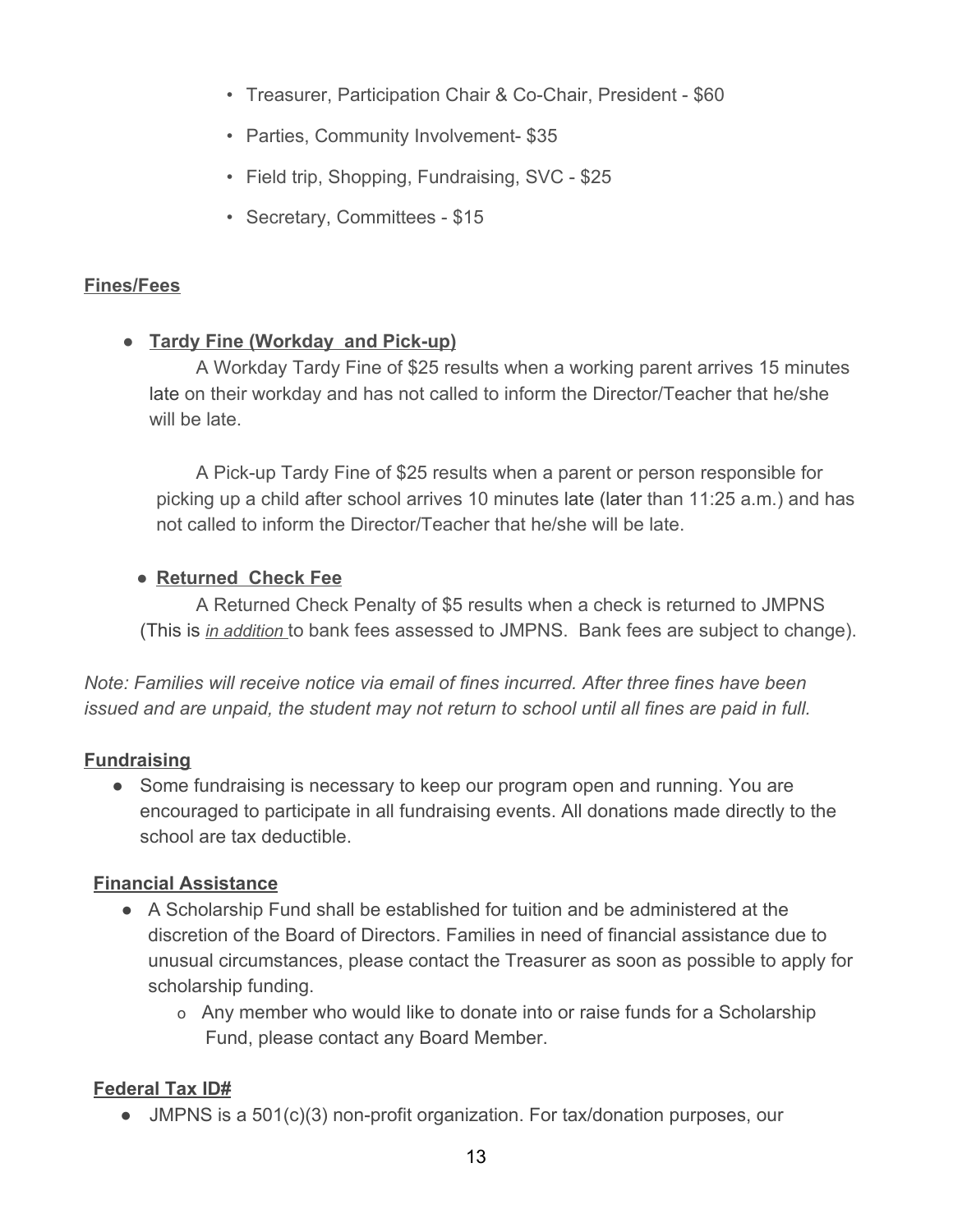- Treasurer, Participation Chair & Co-Chair, President \$60
- Parties, Community Involvement- \$35
- Field trip, Shopping, Fundraising, SVC \$25
- Secretary, Committees \$15

#### **Fines/Fees**

#### **● Tardy Fine (Workday and Pick-up)**

A Workday Tardy Fine of \$25 results when a working parent arrives 15 minutes late on their workday and has not called to inform the Director/Teacher that he/she will be late.

A Pick-up Tardy Fine of \$25 results when a parent or person responsible for picking up a child after school arrives 10 minutes late (later than 11:25 a.m.) and has not called to inform the Director/Teacher that he/she will be late.

#### **● Returned Check Fee**

A Returned Check Penalty of \$5 results when a check is returned to JMPNS (This is *in addition* to bank fees assessed to JMPNS. Bank fees are subject to change).

*Note: Families will receive notice via email of fines incurred. After three fines have been issued and are unpaid, the student may not return to school until all fines are paid in full.*

#### **Fundraising**

• Some fundraising is necessary to keep our program open and running. You are encouraged to participate in all fundraising events. All donations made directly to the school are tax deductible.

#### **Financial Assistance**

- A Scholarship Fund shall be established for tuition and be administered at the discretion of the Board of Directors. Families in need of financial assistance due to unusual circumstances, please contact the Treasurer as soon as possible to apply for scholarship funding.
	- o Any member who would like to donate into or raise funds for a Scholarship Fund, please contact any Board Member.

#### **Federal Tax ID#**

● JMPNS is a 501(c)(3) non-profit organization. For tax/donation purposes, our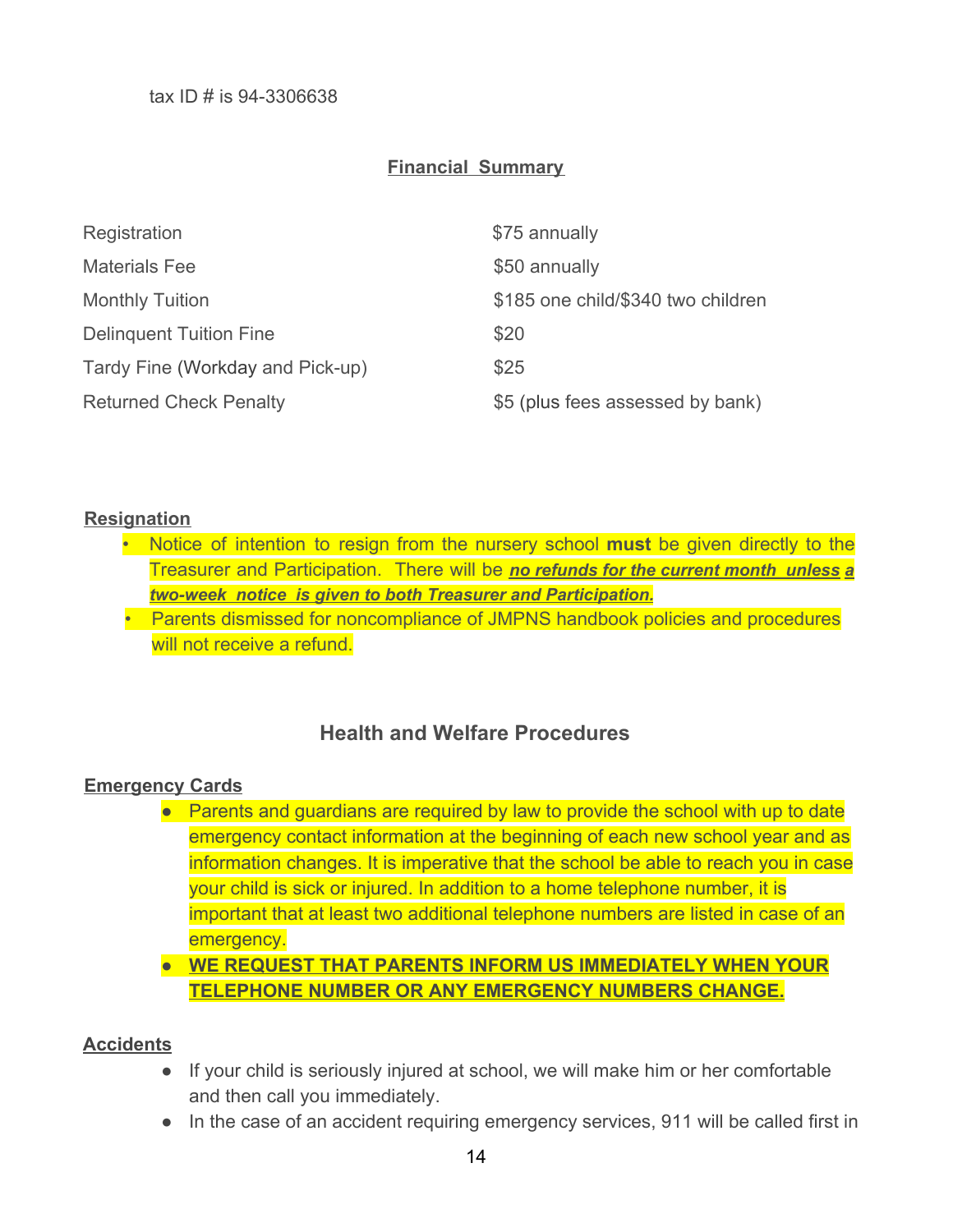#### **Financial Summary**

| Registration                     | \$75 annually                      |
|----------------------------------|------------------------------------|
| <b>Materials Fee</b>             | \$50 annually                      |
| <b>Monthly Tuition</b>           | \$185 one child/\$340 two children |
| <b>Delinguent Tuition Fine</b>   | \$20                               |
| Tardy Fine (Workday and Pick-up) | \$25                               |
| <b>Returned Check Penalty</b>    | \$5 (plus fees assessed by bank)   |

#### **Resignation**

- Notice of intention to resign from the nursery school **must** be given directly to the Treasurer and Participation. There will be *no refunds for the current month unless a two-week notice is given to both Treasurer and Participation.*
- Parents dismissed for noncompliance of JMPNS handbook policies and procedures will not receive a refund.

#### **Health and Welfare Procedures**

#### **Emergency Cards**

- Parents and guardians are required by law to provide the school with up to date emergency contact information at the beginning of each new school year and as information changes. It is imperative that the school be able to reach you in case your child is sick or injured. In addition to a home telephone number, it is important that at least two additional telephone numbers are listed in case of an emergency.
- **WE REQUEST THAT PARENTS INFORM US IMMEDIATELY WHEN YOUR TELEPHONE NUMBER OR ANY EMERGENCY NUMBERS CHANGE.**

#### **Accidents**

- If your child is seriously injured at school, we will make him or her comfortable and then call you immediately.
- In the case of an accident requiring emergency services, 911 will be called first in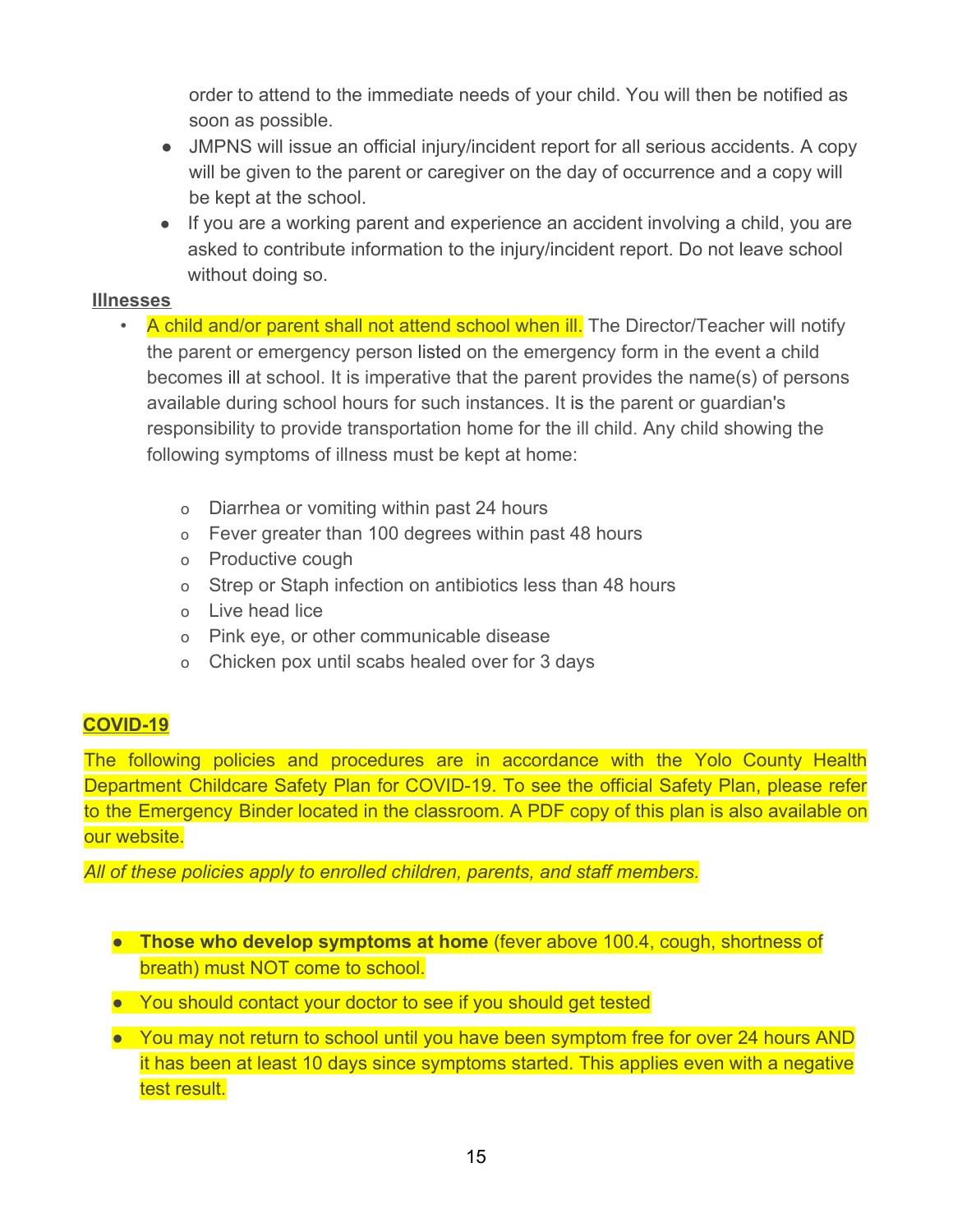order to attend to the immediate needs of your child. You will then be notified as soon as possible.

- JMPNS will issue an official injury/incident report for all serious accidents. A copy will be given to the parent or caregiver on the day of occurrence and a copy will be kept at the school.
- If you are a working parent and experience an accident involving a child, you are asked to contribute information to the injury/incident report. Do not leave school without doing so.

#### **Illnesses**

- A child and/or parent shall not attend school when ill. The Director/Teacher will notify the parent or emergency person listed on the emergency form in the event a child becomes ill at school. It is imperative that the parent provides the name(s) of persons available during school hours for such instances. It is the parent or guardian's responsibility to provide transportation home for the ill child. Any child showing the following symptoms of illness must be kept at home:
	- o Diarrhea or vomiting within past 24 hours
	- o Fever greater than 100 degrees within past 48 hours
	- o Productive cough
	- o Strep or Staph infection on antibiotics less than 48 hours
	- o Live head lice
	- o Pink eye, or other communicable disease
	- o Chicken pox until scabs healed over for 3 days

# **COVID-19**

The following policies and procedures are in accordance with the Yolo County Health Department Childcare Safety Plan for COVID-19. To see the official Safety Plan, please refer to the Emergency Binder located in the classroom. A PDF copy of this plan is also available on our website.

*All of these policies apply to enrolled children, parents, and staff members.*

- **Those who develop symptoms at home** (fever above 100.4, cough, shortness of breath) must NOT come to school.
- You should contact your doctor to see if you should get tested
- You may not return to school until you have been symptom free for over 24 hours AND it has been at least 10 days since symptoms started. This applies even with a negative test result.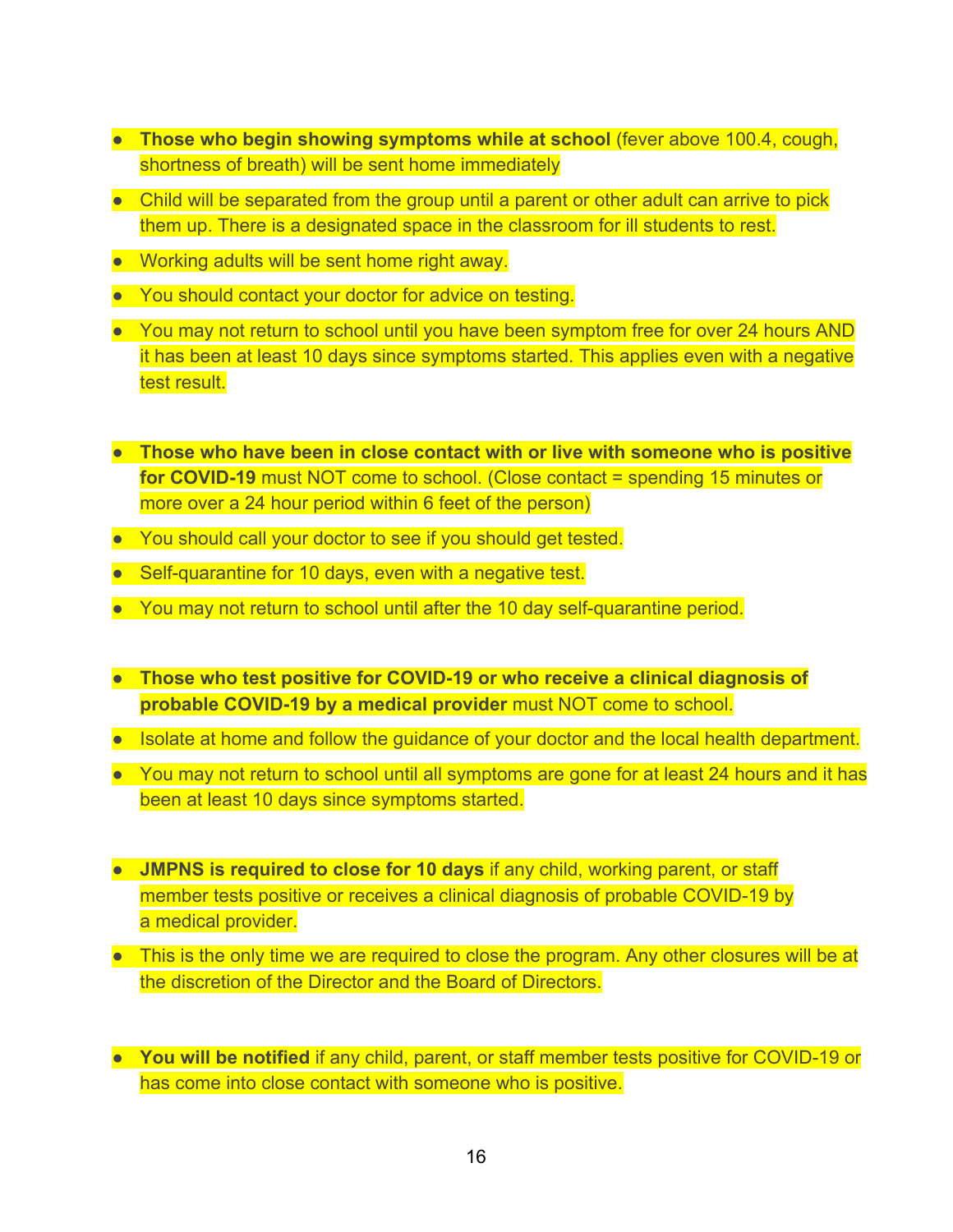- **Those who begin showing symptoms while at school** (fever above 100.4, cough, shortness of breath) will be sent home immediately
- Child will be separated from the group until a parent or other adult can arrive to pick them up. There is a designated space in the classroom for ill students to rest.
- Working adults will be sent home right away.
- You should contact your doctor for advice on testing.
- You may not return to school until you have been symptom free for over 24 hours AND it has been at least 10 days since symptoms started. This applies even with a negative test result.
- **Those who have been in close contact with or live with someone who is positive for COVID-19** must NOT come to school. (Close contact = spending 15 minutes or more over a 24 hour period within 6 feet of the person)
- You should call your doctor to see if you should get tested.
- Self-quarantine for 10 days, even with a negative test.
- You may not return to school until after the 10 day self-quarantine period.
- **Those who test positive for COVID-19 or who receive a clinical diagnosis of probable COVID-19 by a medical provider** must NOT come to school.
- Isolate at home and follow the guidance of your doctor and the local health department.
- You may not return to school until all symptoms are gone for at least 24 hours and it has been at least 10 days since symptoms started.
- **JMPNS is required to close for 10 days** if any child, working parent, or staff member tests positive or receives a clinical diagnosis of probable COVID-19 by a medical provider.
- This is the only time we are required to close the program. Any other closures will be at the discretion of the Director and the Board of Directors.
- **You will be notified** if any child, parent, or staff member tests positive for COVID-19 or has come into close contact with someone who is positive.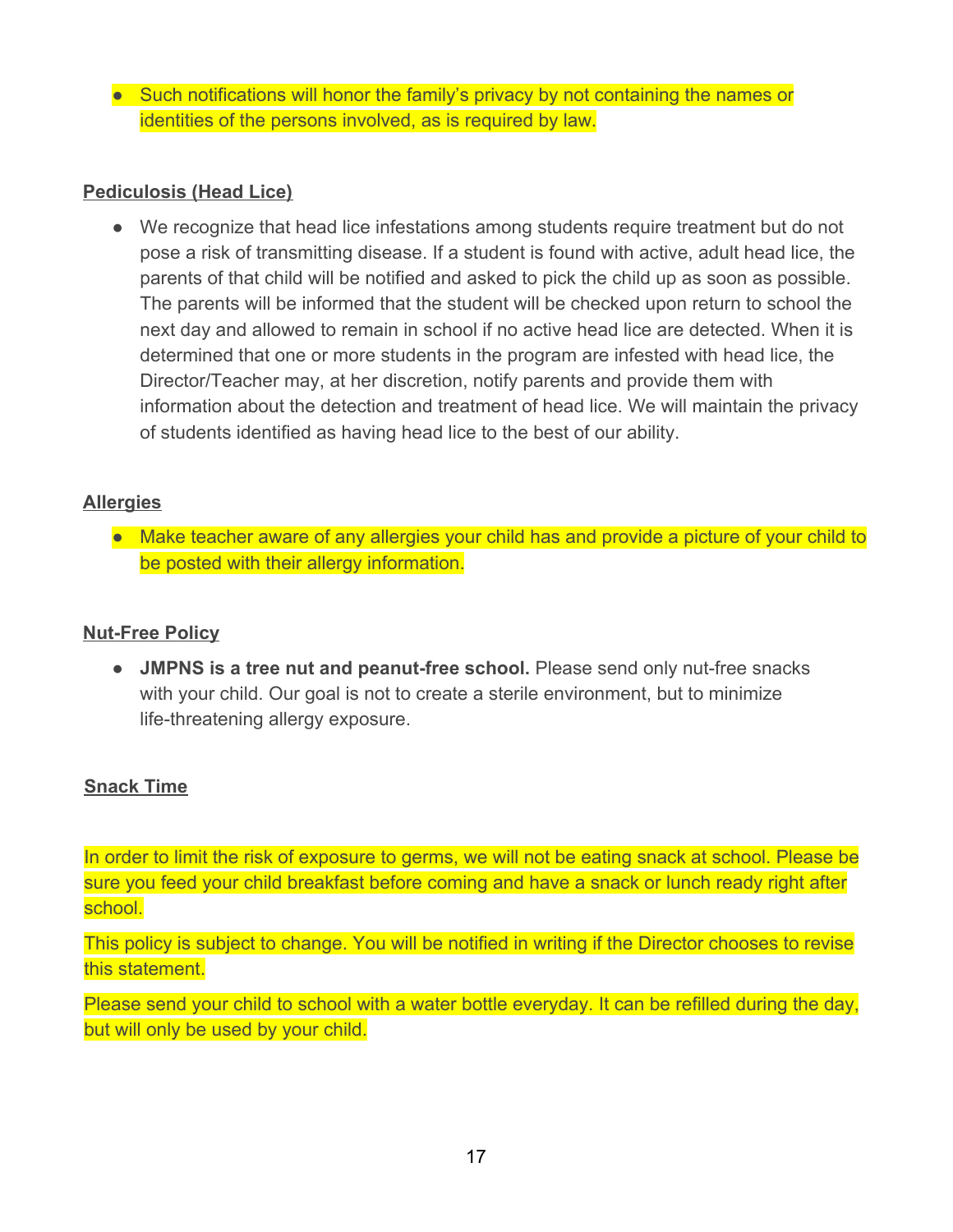● Such notifications will honor the family's privacy by not containing the names or identities of the persons involved, as is required by law.

#### **Pediculosis (Head Lice)**

● We recognize that head lice infestations among students require treatment but do not pose a risk of transmitting disease. If a student is found with active, adult head lice, the parents of that child will be notified and asked to pick the child up as soon as possible. The parents will be informed that the student will be checked upon return to school the next day and allowed to remain in school if no active head lice are detected. When it is determined that one or more students in the program are infested with head lice, the Director/Teacher may, at her discretion, notify parents and provide them with information about the detection and treatment of head lice. We will maintain the privacy of students identified as having head lice to the best of our ability.

#### **Allergies**

● Make teacher aware of any allergies your child has and provide a picture of your child to be posted with their allergy information.

#### **Nut-Free Policy**

● **JMPNS is a tree nut and peanut-free school.** Please send only nut-free snacks with your child. Our goal is not to create a sterile environment, but to minimize life-threatening allergy exposure.

#### **Snack Time**

In order to limit the risk of exposure to germs, we will not be eating snack at school. Please be sure you feed your child breakfast before coming and have a snack or lunch ready right after school.

This policy is subject to change. You will be notified in writing if the Director chooses to revise this statement.

Please send your child to school with a water bottle everyday. It can be refilled during the day, but will only be used by your child.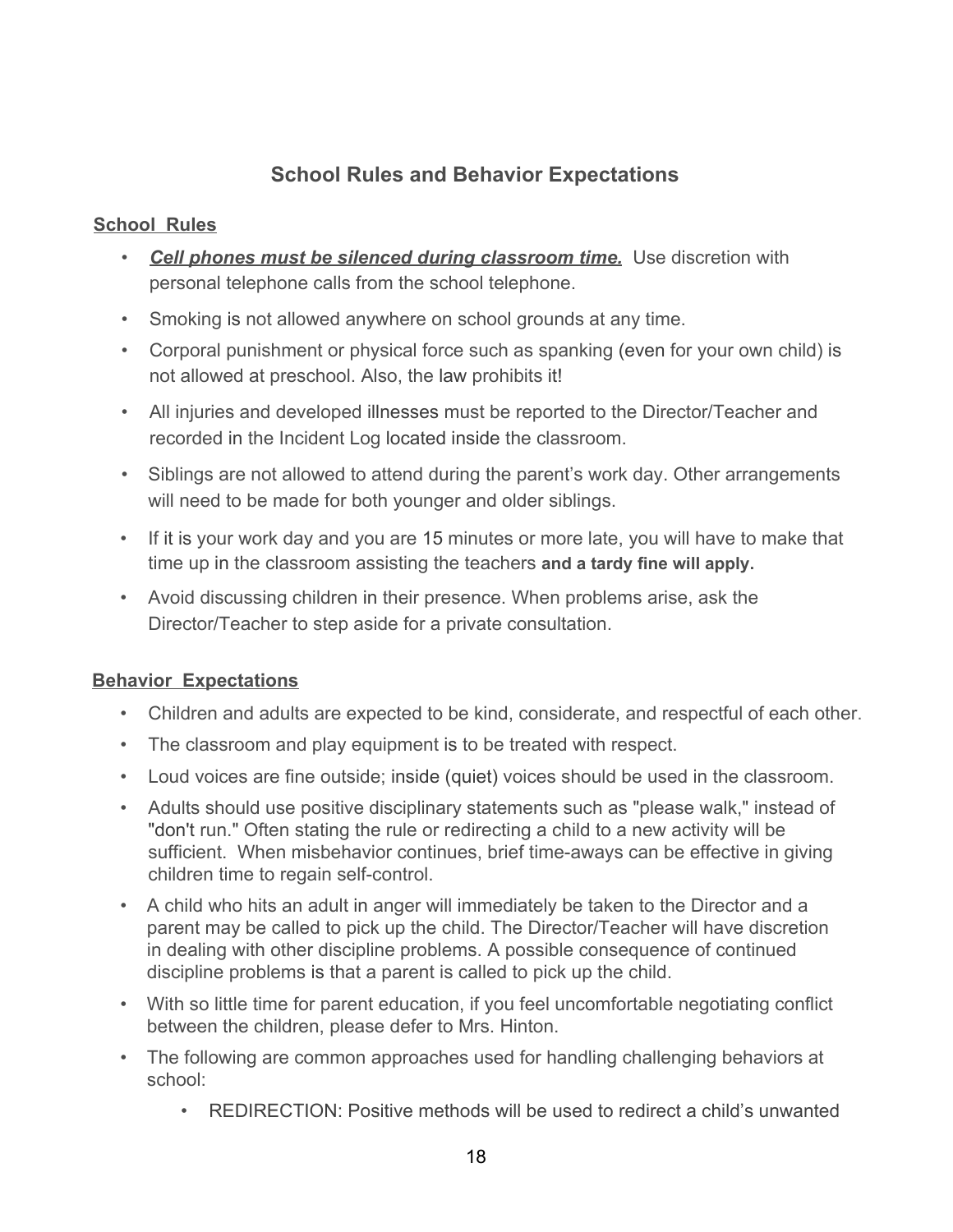# **School Rules and Behavior Expectations**

#### **School Rules**

- *Cell phones must be silenced during classroom time.* Use discretion with personal telephone calls from the school telephone.
- Smoking is not allowed anywhere on school grounds at any time.
- Corporal punishment or physical force such as spanking (even for your own child) is not allowed at preschool. Also, the law prohibits it!
- All injuries and developed illnesses must be reported to the Director/Teacher and recorded in the Incident Log located inside the classroom.
- Siblings are not allowed to attend during the parent's work day. Other arrangements will need to be made for both younger and older siblings.
- If it is your work day and you are 15 minutes or more late, you will have to make that time up in the classroom assisting the teachers **and a tardy fine will apply.**
- Avoid discussing children in their presence. When problems arise, ask the Director/Teacher to step aside for a private consultation.

#### **Behavior Expectations**

- Children and adults are expected to be kind, considerate, and respectful of each other.
- The classroom and play equipment is to be treated with respect.
- Loud voices are fine outside; inside (quiet) voices should be used in the classroom.
- Adults should use positive disciplinary statements such as "please walk," instead of "don't run." Often stating the rule or redirecting a child to a new activity will be sufficient. When misbehavior continues, brief time-aways can be effective in giving children time to regain self-control.
- A child who hits an adult in anger will immediately be taken to the Director and a parent may be called to pick up the child. The Director/Teacher will have discretion in dealing with other discipline problems. A possible consequence of continued discipline problems is that a parent is called to pick up the child.
- With so little time for parent education, if you feel uncomfortable negotiating conflict between the children, please defer to Mrs. Hinton.
- The following are common approaches used for handling challenging behaviors at school:
	- REDIRECTION: Positive methods will be used to redirect a child's unwanted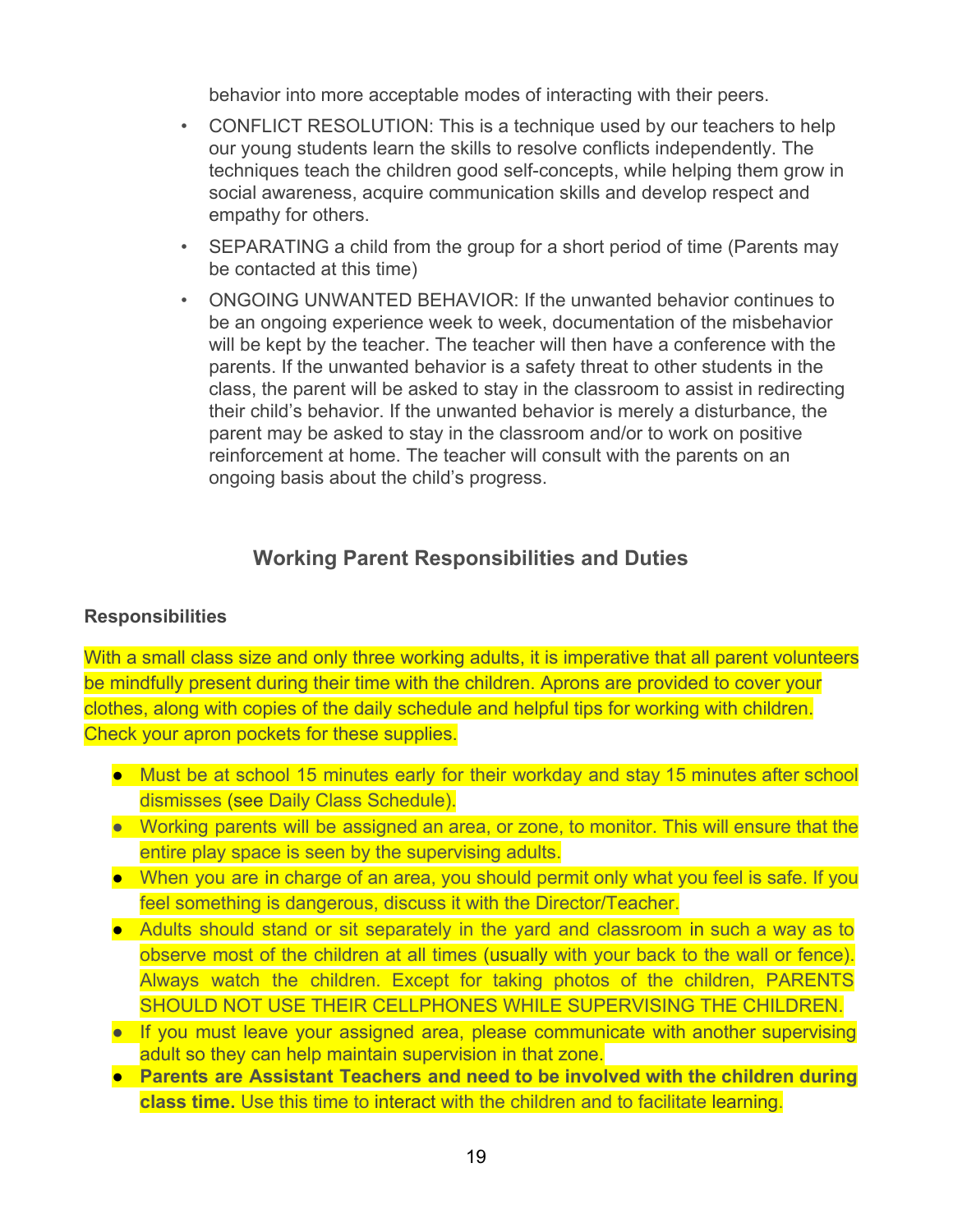behavior into more acceptable modes of interacting with their peers.

- CONFLICT RESOLUTION: This is a technique used by our teachers to help our young students learn the skills to resolve conflicts independently. The techniques teach the children good self-concepts, while helping them grow in social awareness, acquire communication skills and develop respect and empathy for others.
- SEPARATING a child from the group for a short period of time (Parents may be contacted at this time)
- ONGOING UNWANTED BEHAVIOR: If the unwanted behavior continues to be an ongoing experience week to week, documentation of the misbehavior will be kept by the teacher. The teacher will then have a conference with the parents. If the unwanted behavior is a safety threat to other students in the class, the parent will be asked to stay in the classroom to assist in redirecting their child's behavior. If the unwanted behavior is merely a disturbance, the parent may be asked to stay in the classroom and/or to work on positive reinforcement at home. The teacher will consult with the parents on an ongoing basis about the child's progress.

# **Working Parent Responsibilities and Duties**

#### **Responsibilities**

With a small class size and only three working adults, it is imperative that all parent volunteers be mindfully present during their time with the children. Aprons are provided to cover your clothes, along with copies of the daily schedule and helpful tips for working with children. Check your apron pockets for these supplies.

- Must be at school 15 minutes early for their workday and stay 15 minutes after school dismisses (see Daily Class Schedule).
- Working parents will be assigned an area, or zone, to monitor. This will ensure that the entire play space is seen by the supervising adults.
- When you are in charge of an area, you should permit only what you feel is safe. If you feel something is dangerous, discuss it with the Director/Teacher.
- Adults should stand or sit separately in the yard and classroom in such a way as to observe most of the children at all times (usually with your back to the wall or fence). Always watch the children. Except for taking photos of the children, PARENTS SHOULD NOT USE THEIR CELLPHONES WHILE SUPERVISING THE CHILDREN.
- If you must leave your assigned area, please communicate with another supervising adult so they can help maintain supervision in that zone.
- **Parents are Assistant Teachers and need to be involved with the children during class time.** Use this time to interact with the children and to facilitate learning.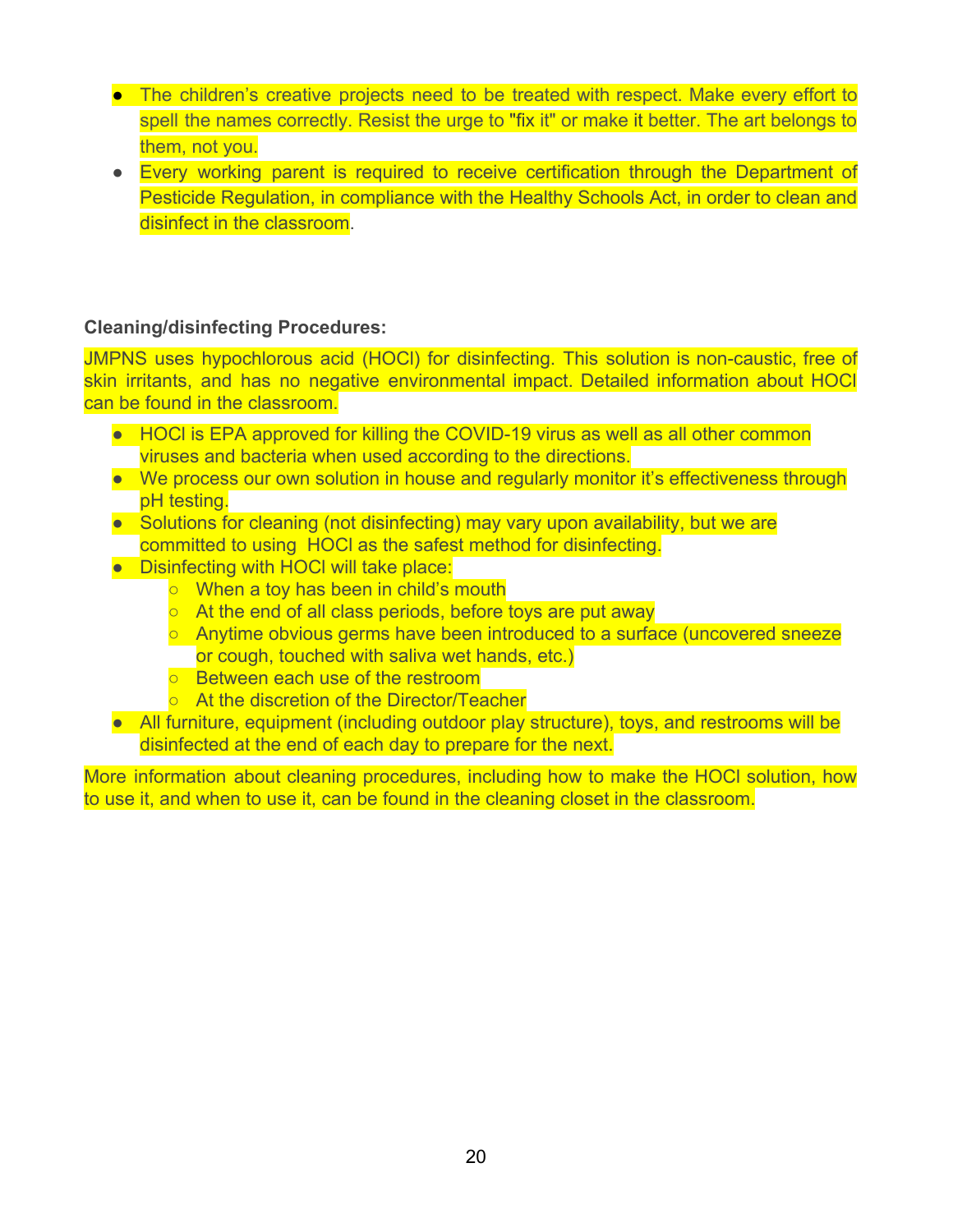- The children's creative projects need to be treated with respect. Make every effort to spell the names correctly. Resist the urge to "fix it" or make it better. The art belongs to them, not you.
- Every working parent is required to receive certification through the Department of Pesticide Regulation, in compliance with the Healthy Schools Act, in order to clean and disinfect in the classroom.

#### **Cleaning/disinfecting Procedures:**

JMPNS uses hypochlorous acid (HOCl) for disinfecting. This solution is non-caustic, free of skin irritants, and has no negative environmental impact. Detailed information about HOCl can be found in the classroom.

- HOCI is EPA approved for killing the COVID-19 virus as well as all other common viruses and bacteria when used according to the directions.
- We process our own solution in house and regularly monitor it's effectiveness through pH testing.
- Solutions for cleaning (not disinfecting) may vary upon availability, but we are committed to using HOCl as the safest method for disinfecting.
- Disinfecting with HOCl will take place:
	- When a toy has been in child's mouth
	- At the end of all class periods, before toys are put away
	- $\circ$  Anytime obvious germs have been introduced to a surface (uncovered sneeze or cough, touched with saliva wet hands, etc.)
	- Between each use of the restroom
	- At the discretion of the Director/Teacher
- All furniture, equipment (including outdoor play structure), toys, and restrooms will be disinfected at the end of each day to prepare for the next.

More information about cleaning procedures, including how to make the HOCl solution, how to use it, and when to use it, can be found in the cleaning closet in the classroom.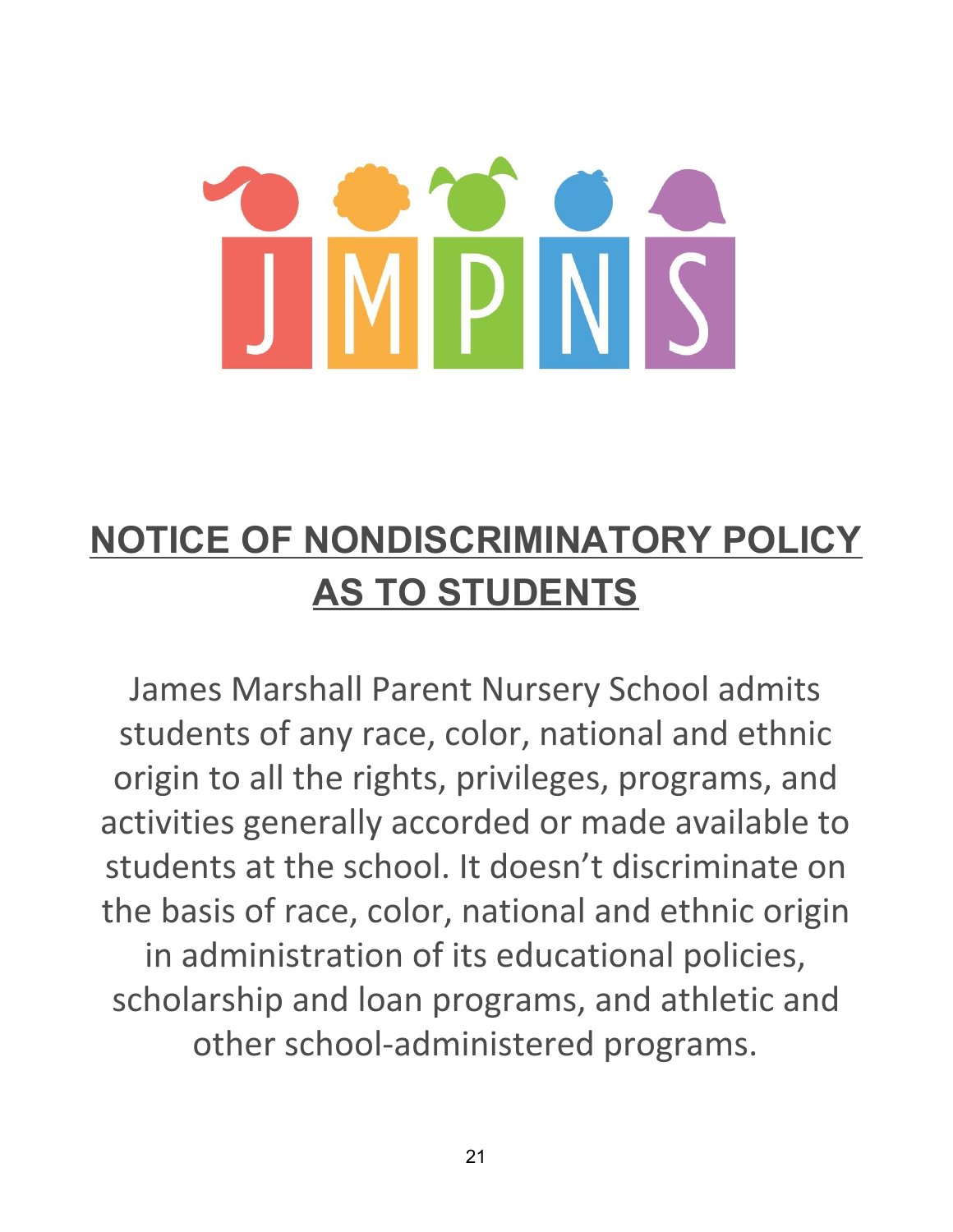# **NOTICE OF NONDISCRIMINATORY POLICY AS TO STUDENTS**

James Marshall Parent Nursery School admits students of any race, color, national and ethnic origin to all the rights, privileges, programs, and activities generally accorded or made available to students at the school. It doesn't discriminate on the basis of race, color, national and ethnic origin in administration of its educational policies, scholarship and loan programs, and athletic and other school-administered programs.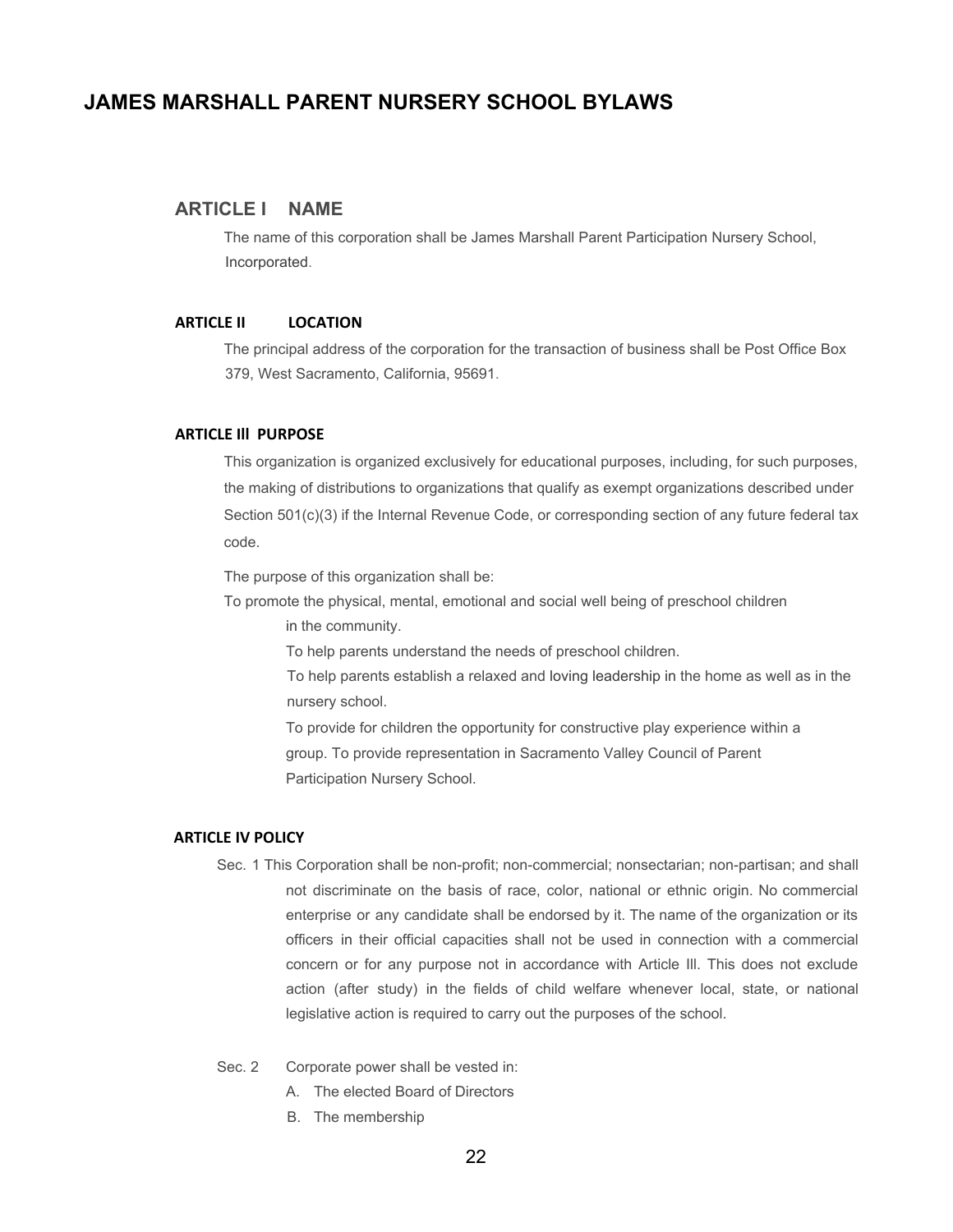#### **JAMES MARSHALL PARENT NURSERY SCHOOL BYLAWS**

#### **ARTICLE I NAME**

The name of this corporation shall be James Marshall Parent Participation Nursery School, Incorporated.

#### **ARTICLE II LOCATION**

The principal address of the corporation for the transaction of business shall be Post Office Box 379, West Sacramento, California, 95691.

#### **ARTICLE Ill PURPOSE**

This organization is organized exclusively for educational purposes, including, for such purposes, the making of distributions to organizations that qualify as exempt organizations described under Section 501(c)(3) if the Internal Revenue Code, or corresponding section of any future federal tax code.

The purpose of this organization shall be:

To promote the physical, mental, emotional and social well being of preschool children in the community.

To help parents understand the needs of preschool children.

To help parents establish a relaxed and loving leadership in the home as well as in the nursery school.

To provide for children the opportunity for constructive play experience within a group. To provide representation in Sacramento Valley Council of Parent Participation Nursery School.

#### **ARTICLE IV POLICY**

- Sec. 1 This Corporation shall be non-profit; non-commercial; nonsectarian; non-partisan; and shall not discriminate on the basis of race, color, national or ethnic origin. No commercial enterprise or any candidate shall be endorsed by it. The name of the organization or its officers in their official capacities shall not be used in connection with a commercial concern or for any purpose not in accordance with Article Ill. This does not exclude action (after study) in the fields of child welfare whenever local, state, or national legislative action is required to carry out the purposes of the school.
- Sec. 2 Corporate power shall be vested in:
	- A. The elected Board of Directors
	- B. The membership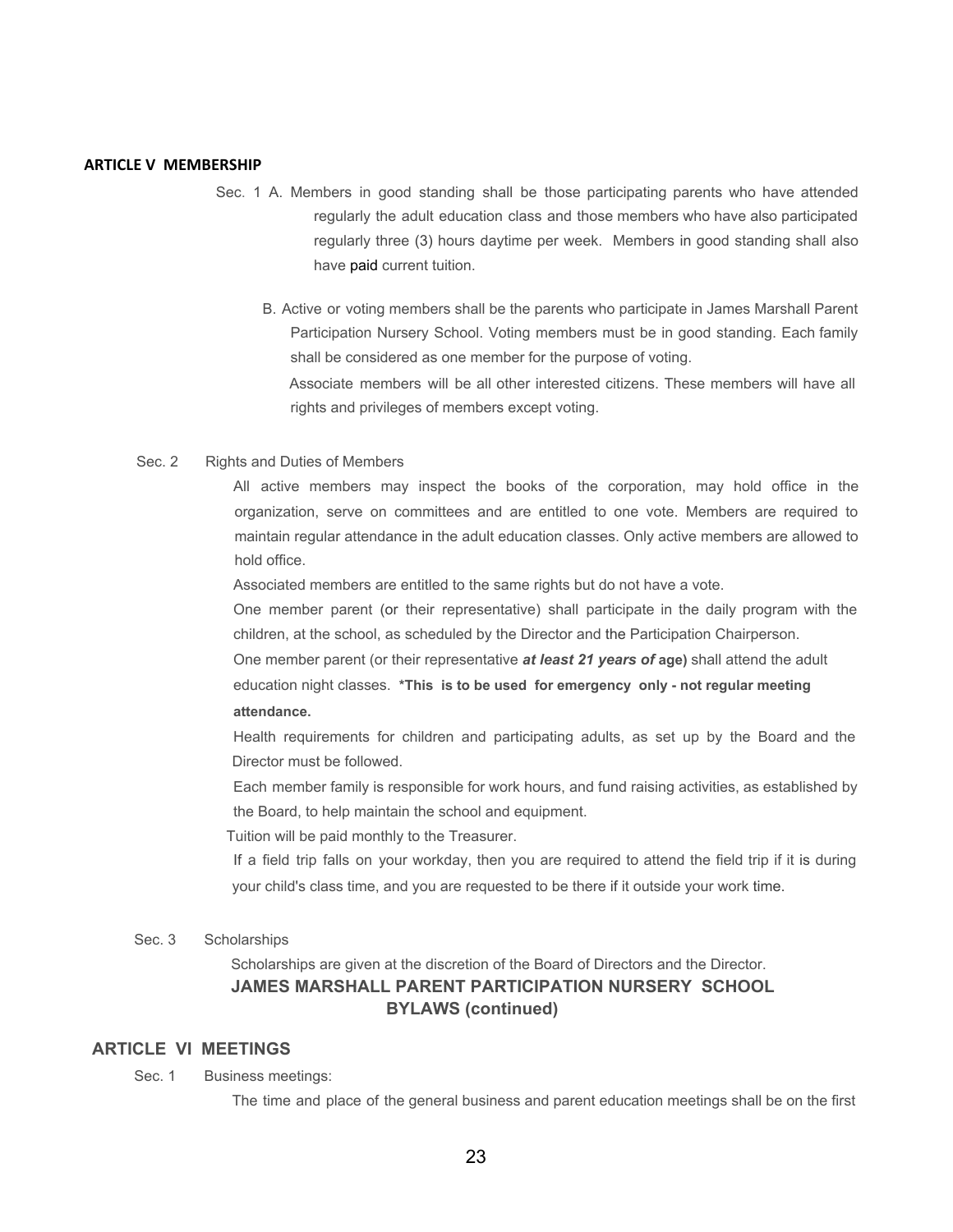#### **ARTICLE V MEMBERSHIP**

- Sec. 1 A. Members in good standing shall be those participating parents who have attended regularly the adult education class and those members who have also participated regularly three (3) hours daytime per week. Members in good standing shall also have paid current tuition.
	- B. Active or voting members shall be the parents who participate in James Marshall Parent Participation Nursery School. Voting members must be in good standing. Each family shall be considered as one member for the purpose of voting. Associate members will be all other interested citizens. These members will have all rights and privileges of members except voting.
- Sec. 2 Rights and Duties of Members

All active members may inspect the books of the corporation, may hold office in the organization, serve on committees and are entitled to one vote. Members are required to maintain regular attendance in the adult education classes. Only active members are allowed to hold office.

Associated members are entitled to the same rights but do not have a vote.

One member parent (or their representative) shall participate in the daily program with the children, at the school, as scheduled by the Director and the Participation Chairperson.

One member parent (or their representative *at least 21 years of* **age)** shall attend the adult education night classes. **\*This is to be used for emergency only - not regular meeting attendance.**

Health requirements for children and participating adults, as set up by the Board and the Director must be followed.

Each member family is responsible for work hours, and fund raising activities, as established by the Board, to help maintain the school and equipment.

Tuition will be paid monthly to the Treasurer.

If a field trip falls on your workday, then you are required to attend the field trip if it is during your child's class time, and you are requested to be there if it outside your work time.

#### Sec. 3 Scholarships

Scholarships are given at the discretion of the Board of Directors and the Director. **JAMES MARSHALL PARENT PARTICIPATION NURSERY SCHOOL BYLAWS (continued)**

#### **ARTICLE VI MEETINGS**

Sec. 1 Business meetings:

The time and place of the general business and parent education meetings shall be on the first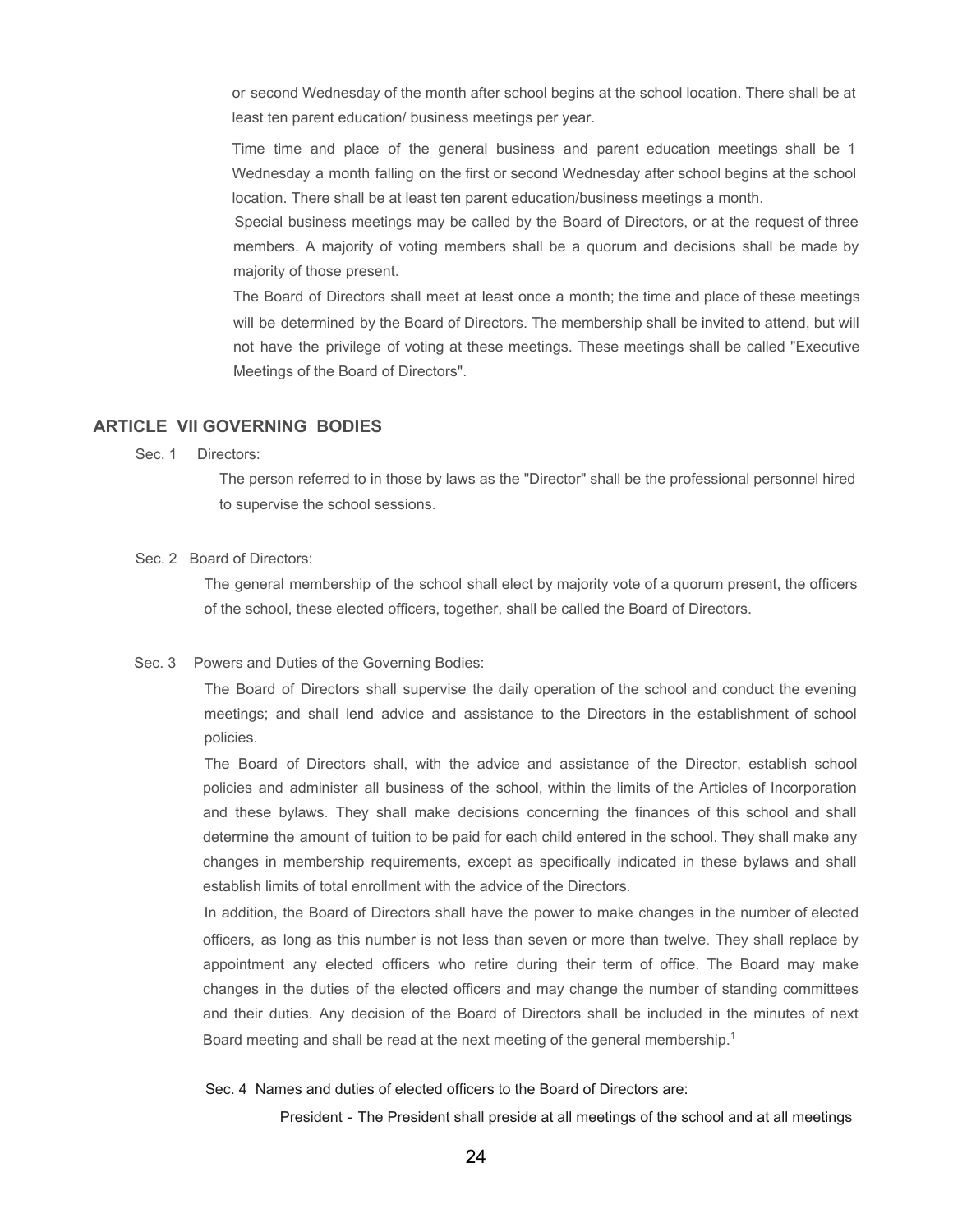or second Wednesday of the month after school begins at the school location. There shall be at least ten parent education/ business meetings per year.

Time time and place of the general business and parent education meetings shall be 1 Wednesday a month falling on the first or second Wednesday after school begins at the school location. There shall be at least ten parent education/business meetings a month.

Special business meetings may be called by the Board of Directors, or at the request of three members. A majority of voting members shall be a quorum and decisions shall be made by majority of those present.

The Board of Directors shall meet at least once a month; the time and place of these meetings will be determined by the Board of Directors. The membership shall be invited to attend, but will not have the privilege of voting at these meetings. These meetings shall be called "Executive Meetings of the Board of Directors".

#### **ARTICLE VII GOVERNING BODIES**

Sec. 1 Directors:

The person referred to in those by laws as the "Director" shall be the professional personnel hired to supervise the school sessions.

#### Sec. 2 Board of Directors:

The general membership of the school shall elect by majority vote of a quorum present, the officers of the school, these elected officers, together, shall be called the Board of Directors.

#### Sec. 3 Powers and Duties of the Governing Bodies:

The Board of Directors shall supervise the daily operation of the school and conduct the evening meetings; and shall lend advice and assistance to the Directors in the establishment of school policies.

The Board of Directors shall, with the advice and assistance of the Director, establish school policies and administer all business of the school, within the limits of the Articles of Incorporation and these bylaws. They shall make decisions concerning the finances of this school and shall determine the amount of tuition to be paid for each child entered in the school. They shall make any changes in membership requirements, except as specifically indicated in these bylaws and shall establish limits of total enrollment with the advice of the Directors.

In addition, the Board of Directors shall have the power to make changes in the number of elected officers, as long as this number is not less than seven or more than twelve. They shall replace by appointment any elected officers who retire during their term of office. The Board may make changes in the duties of the elected officers and may change the number of standing committees and their duties. Any decision of the Board of Directors shall be included in the minutes of next Board meeting and shall be read at the next meeting of the general membership.<sup>1</sup>

#### Sec. 4 Names and duties of elected officers to the Board of Directors are:

President - The President shall preside at all meetings of the school and at all meetings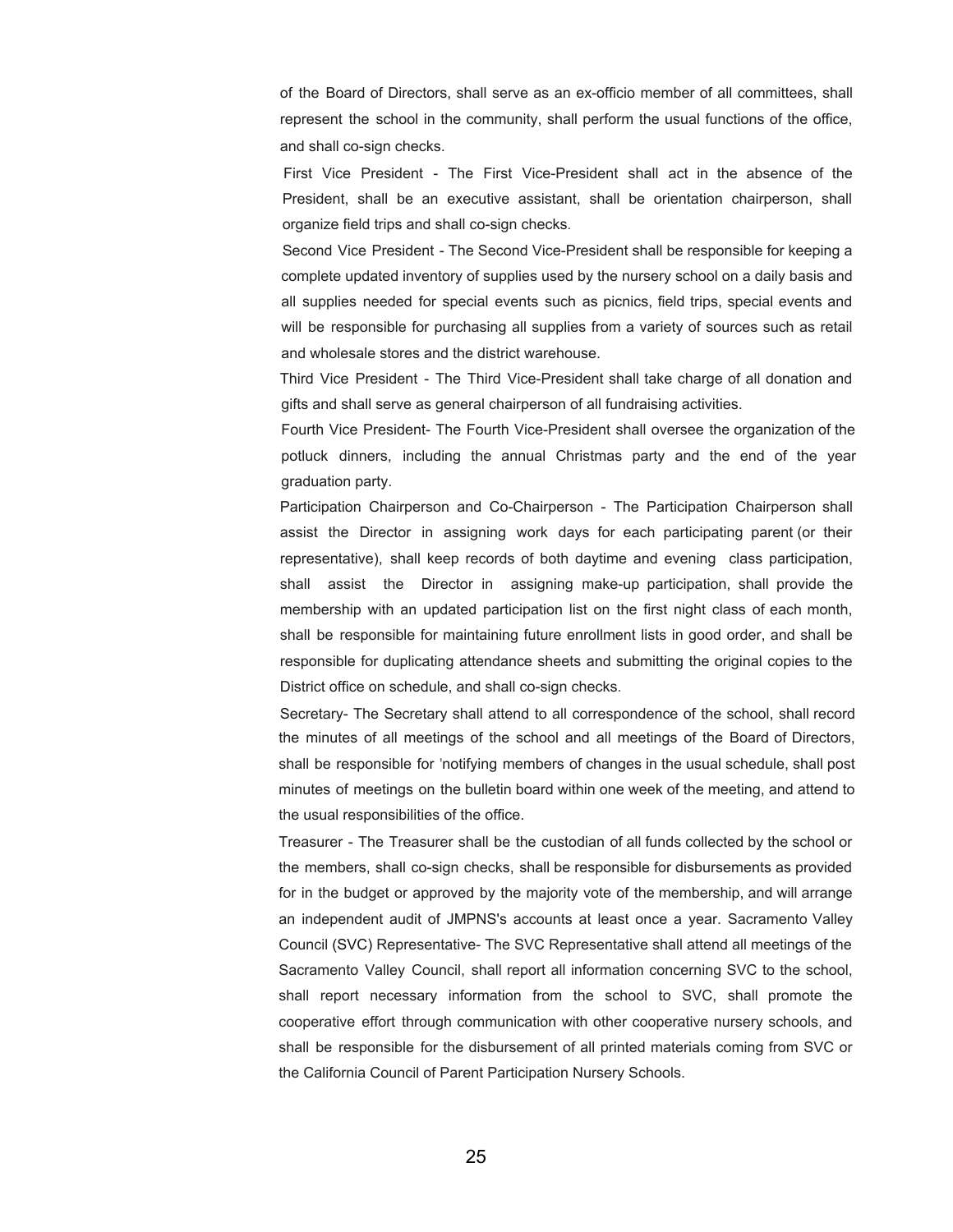of the Board of Directors, shall serve as an ex-officio member of all committees, shall represent the school in the community, shall perform the usual functions of the office, and shall co-sign checks.

First Vice President - The First Vice-President shall act in the absence of the President, shall be an executive assistant, shall be orientation chairperson, shall organize field trips and shall co-sign checks.

Second Vice President - The Second Vice-President shall be responsible for keeping a complete updated inventory of supplies used by the nursery school on a daily basis and all supplies needed for special events such as picnics, field trips, special events and will be responsible for purchasing all supplies from a variety of sources such as retail and wholesale stores and the district warehouse.

Third Vice President - The Third Vice-President shall take charge of all donation and gifts and shall serve as general chairperson of all fundraising activities.

Fourth Vice President- The Fourth Vice-President shall oversee the organization of the potluck dinners, including the annual Christmas party and the end of the year graduation party.

Participation Chairperson and Co-Chairperson - The Participation Chairperson shall assist the Director in assigning work days for each participating parent (or their representative), shall keep records of both daytime and evening class participation, shall assist the Director in assigning make-up participation, shall provide the membership with an updated participation list on the first night class of each month, shall be responsible for maintaining future enrollment lists in good order, and shall be responsible for duplicating attendance sheets and submitting the original copies to the District office on schedule, and shall co-sign checks.

Secretary- The Secretary shall attend to all correspondence of the school, shall record the minutes of all meetings of the school and all meetings of the Board of Directors, shall be responsible for 'notifying members of changes in the usual schedule, shall post minutes of meetings on the bulletin board within one week of the meeting, and attend to the usual responsibilities of the office.

Treasurer - The Treasurer shall be the custodian of all funds collected by the school or the members, shall co-sign checks, shall be responsible for disbursements as provided for in the budget or approved by the majority vote of the membership, and will arrange an independent audit of JMPNS's accounts at least once a year. Sacramento Valley Council (SVC) Representative- The SVC Representative shall attend all meetings of the Sacramento Valley Council, shall report all information concerning SVC to the school, shall report necessary information from the school to SVC, shall promote the cooperative effort through communication with other cooperative nursery schools, and shall be responsible for the disbursement of all printed materials coming from SVC or the California Council of Parent Participation Nursery Schools.